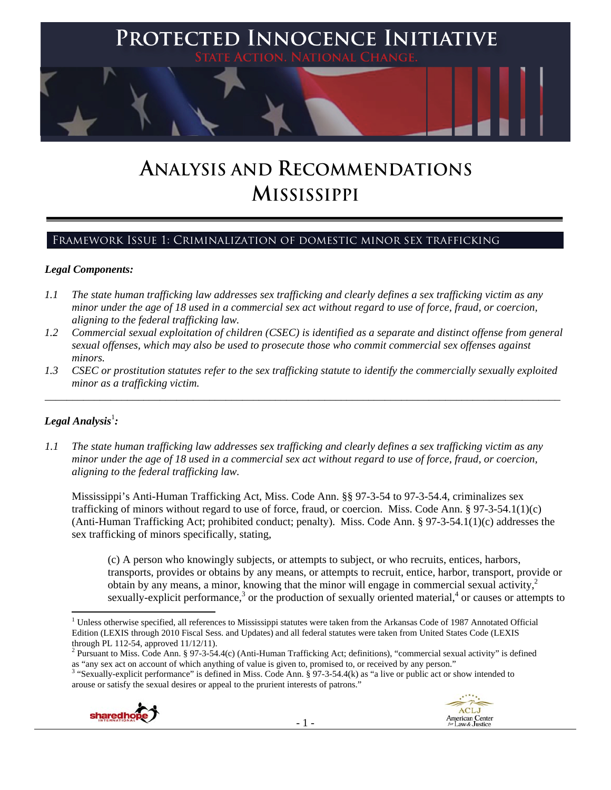

# **ANALYSIS AND RECOMMENDATIONS MISSISSIPPI**

# Framework Issue 1: Criminalization of domestic minor sex trafficking

## *Legal Components:*

- *1.1 The state human trafficking law addresses sex trafficking and clearly defines a sex trafficking victim as any minor under the age of 18 used in a commercial sex act without regard to use of force, fraud, or coercion, aligning to the federal trafficking law.*
- *1.2 Commercial sexual exploitation of children (CSEC) is identified as a separate and distinct offense from general sexual offenses, which may also be used to prosecute those who commit commercial sex offenses against minors.*
- *1.3 CSEC or prostitution statutes refer to the sex trafficking statute to identify the commercially sexually exploited minor as a trafficking victim.*

\_\_\_\_\_\_\_\_\_\_\_\_\_\_\_\_\_\_\_\_\_\_\_\_\_\_\_\_\_\_\_\_\_\_\_\_\_\_\_\_\_\_\_\_\_\_\_\_\_\_\_\_\_\_\_\_\_\_\_\_\_\_\_\_\_\_\_\_\_\_\_\_\_\_\_\_\_\_\_\_\_\_\_\_\_\_\_\_\_\_\_\_\_\_

# $\bm{\mathit{Legal\; Analysis^{\text{!}}:}}$

*1.1 The state human trafficking law addresses sex trafficking and clearly defines a sex trafficking victim as any minor under the age of 18 used in a commercial sex act without regard to use of force, fraud, or coercion, aligning to the federal trafficking law.*

Mississippi's Anti-Human Trafficking Act, Miss. Code Ann. §§ 97-3-54 to 97-3-54.4, criminalizes sex trafficking of minors without regard to use of force, fraud, or coercion. Miss. Code Ann. § 97-3-54.1(1)(c) (Anti-Human Trafficking Act; prohibited conduct; penalty). Miss. Code Ann. § 97-3-54.1(1)(c) addresses the sex trafficking of minors specifically, stating,

(c) A person who knowingly subjects, or attempts to subject, or who recruits, entices, harbors, transports, provides or obtains by any means, or attempts to recruit, entice, harbor, transport, provide or obtain by any means, a minor, knowing that the minor will engage in commercial sexual activity, $\lambda$ sexually-explicit performance,<sup>3</sup> or the production of sexually oriented material,<sup>4</sup> or causes or attempts to

<sup>&</sup>lt;sup>3</sup> "Sexually-explicit performance" is defined in Miss. Code Ann. § 97-3-54.4(k) as "a live or public act or show intended to arouse or satisfy the sexual desires or appeal to the prurient interests of patrons."



 <sup>1</sup> Unless otherwise specified, all references to Mississippi statutes were taken from the Arkansas Code of 1987 Annotated Official Edition (LEXIS through 2010 Fiscal Sess. and Updates) and all federal statutes were taken from United States Code (LEXIS through PL 112-54, approved 11/12/11).

<sup>&</sup>lt;sup>2</sup> Pursuant to Miss. Code Ann. § 97-3-54.4(c) (Anti-Human Trafficking Act; definitions), "commercial sexual activity" is defined as "any sex act on account of which anything of value is given to, promised to, or received by any person."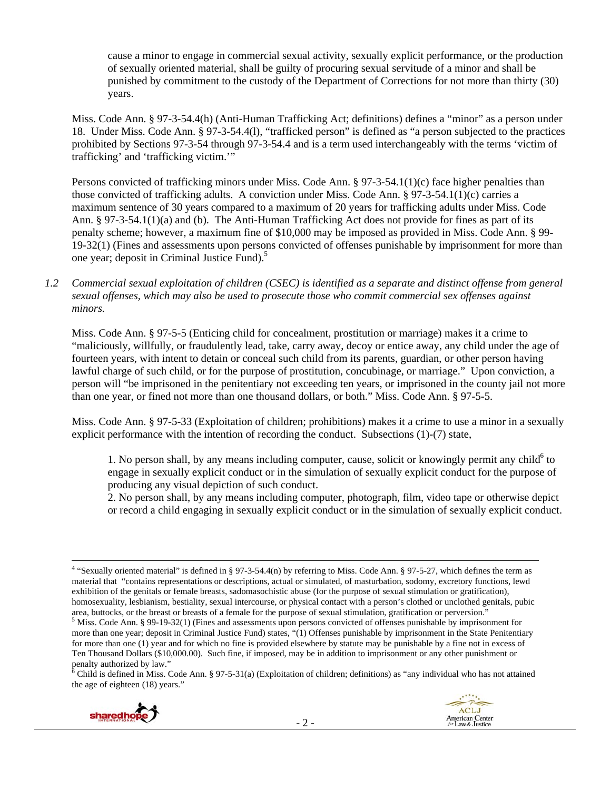cause a minor to engage in commercial sexual activity, sexually explicit performance, or the production of sexually oriented material, shall be guilty of procuring sexual servitude of a minor and shall be punished by commitment to the custody of the Department of Corrections for not more than thirty (30) years.

Miss. Code Ann. § 97-3-54.4(h) (Anti-Human Trafficking Act; definitions) defines a "minor" as a person under 18. Under Miss. Code Ann. § 97-3-54.4(l), "trafficked person" is defined as "a person subjected to the practices prohibited by Sections 97-3-54 through 97-3-54.4 and is a term used interchangeably with the terms 'victim of trafficking' and 'trafficking victim.'"

Persons convicted of trafficking minors under Miss. Code Ann. § 97-3-54.1(1)(c) face higher penalties than those convicted of trafficking adults. A conviction under Miss. Code Ann. § 97-3-54.1(1)(c) carries a maximum sentence of 30 years compared to a maximum of 20 years for trafficking adults under Miss. Code Ann. § 97-3-54.1(1)(a) and (b). The Anti-Human Trafficking Act does not provide for fines as part of its penalty scheme; however, a maximum fine of \$10,000 may be imposed as provided in Miss. Code Ann. § 99- 19-32(1) (Fines and assessments upon persons convicted of offenses punishable by imprisonment for more than one year; deposit in Criminal Justice Fund).<sup>5</sup>

*1.2 Commercial sexual exploitation of children (CSEC) is identified as a separate and distinct offense from general sexual offenses, which may also be used to prosecute those who commit commercial sex offenses against minors.*

Miss. Code Ann. § 97-5-5 (Enticing child for concealment, prostitution or marriage) makes it a crime to "maliciously, willfully, or fraudulently lead, take, carry away, decoy or entice away, any child under the age of fourteen years, with intent to detain or conceal such child from its parents, guardian, or other person having lawful charge of such child, or for the purpose of prostitution, concubinage, or marriage." Upon conviction, a person will "be imprisoned in the penitentiary not exceeding ten years, or imprisoned in the county jail not more than one year, or fined not more than one thousand dollars, or both." Miss. Code Ann. § 97-5-5.

Miss. Code Ann. § 97-5-33 (Exploitation of children; prohibitions) makes it a crime to use a minor in a sexually explicit performance with the intention of recording the conduct. Subsections (1)-(7) state,

1. No person shall, by any means including computer, cause, solicit or knowingly permit any child $<sup>6</sup>$  to</sup> engage in sexually explicit conduct or in the simulation of sexually explicit conduct for the purpose of producing any visual depiction of such conduct.

2. No person shall, by any means including computer, photograph, film, video tape or otherwise depict or record a child engaging in sexually explicit conduct or in the simulation of sexually explicit conduct.

penalty authorized by law."<br><sup>6</sup> Child is defined in Miss. Code Ann. § 97-5-31(a) (Exploitation of children; definitions) as "any individual who has not attained the age of eighteen (18) years."



 <sup>4</sup> "Sexually oriented material" is defined in § 97-3-54.4(n) by referring to Miss. Code Ann. § 97-5-27, which defines the term as material that "contains representations or descriptions, actual or simulated, of masturbation, sodomy, excretory functions, lewd exhibition of the genitals or female breasts, sadomasochistic abuse (for the purpose of sexual stimulation or gratification), homosexuality, lesbianism, bestiality, sexual intercourse, or physical contact with a person's clothed or unclothed genitals, pubic area, buttocks, or the breast or breasts of a female for the purpose of sexual stimulation, gratification or perversion."

 $<sup>5</sup>$  Miss. Code Ann. § 99-19-32(1) (Fines and assessments upon persons convicted of offenses punishable by imprisonment for</sup> more than one year; deposit in Criminal Justice Fund) states, "(1) Offenses punishable by imprisonment in the State Penitentiary for more than one (1) year and for which no fine is provided elsewhere by statute may be punishable by a fine not in excess of Ten Thousand Dollars (\$10,000.00). Such fine, if imposed, may be in addition to imprisonment or any other punishment or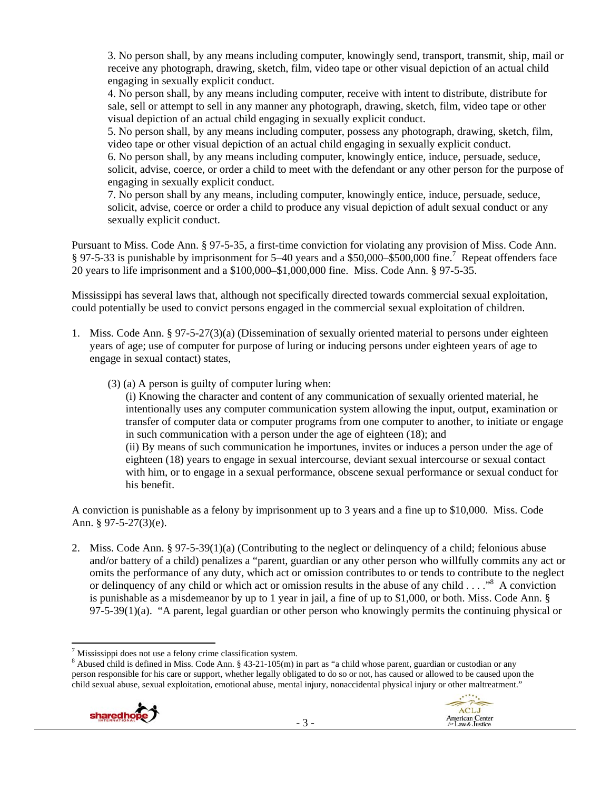3. No person shall, by any means including computer, knowingly send, transport, transmit, ship, mail or receive any photograph, drawing, sketch, film, video tape or other visual depiction of an actual child engaging in sexually explicit conduct.

4. No person shall, by any means including computer, receive with intent to distribute, distribute for sale, sell or attempt to sell in any manner any photograph, drawing, sketch, film, video tape or other visual depiction of an actual child engaging in sexually explicit conduct.

5. No person shall, by any means including computer, possess any photograph, drawing, sketch, film, video tape or other visual depiction of an actual child engaging in sexually explicit conduct. 6. No person shall, by any means including computer, knowingly entice, induce, persuade, seduce, solicit, advise, coerce, or order a child to meet with the defendant or any other person for the purpose of engaging in sexually explicit conduct.

7. No person shall by any means, including computer, knowingly entice, induce, persuade, seduce, solicit, advise, coerce or order a child to produce any visual depiction of adult sexual conduct or any sexually explicit conduct.

Pursuant to Miss. Code Ann. § 97-5-35, a first-time conviction for violating any provision of Miss. Code Ann. § 97-5-33 is punishable by imprisonment for 5–40 years and a \$50,000–\$500,000 fine.<sup>7</sup> Repeat offenders face 20 years to life imprisonment and a \$100,000–\$1,000,000 fine. Miss. Code Ann. § 97-5-35.

Mississippi has several laws that, although not specifically directed towards commercial sexual exploitation, could potentially be used to convict persons engaged in the commercial sexual exploitation of children.

- 1. Miss. Code Ann. § 97-5-27(3)(a) (Dissemination of sexually oriented material to persons under eighteen years of age; use of computer for purpose of luring or inducing persons under eighteen years of age to engage in sexual contact) states,
	- (3) (a) A person is guilty of computer luring when:

(i) Knowing the character and content of any communication of sexually oriented material, he intentionally uses any computer communication system allowing the input, output, examination or transfer of computer data or computer programs from one computer to another, to initiate or engage in such communication with a person under the age of eighteen (18); and (ii) By means of such communication he importunes, invites or induces a person under the age of eighteen (18) years to engage in sexual intercourse, deviant sexual intercourse or sexual contact with him, or to engage in a sexual performance, obscene sexual performance or sexual conduct for his benefit.

A conviction is punishable as a felony by imprisonment up to 3 years and a fine up to \$10,000. Miss. Code Ann. § 97-5-27(3)(e).

2. Miss. Code Ann. § 97-5-39(1)(a) (Contributing to the neglect or delinquency of a child; felonious abuse and/or battery of a child) penalizes a "parent, guardian or any other person who willfully commits any act or omits the performance of any duty, which act or omission contributes to or tends to contribute to the neglect or delinquency of any child or which act or omission results in the abuse of any child . . . ."<sup>8</sup> A conviction is punishable as a misdemeanor by up to 1 year in jail, a fine of up to \$1,000, or both. Miss. Code Ann. §  $97-5-39(1)(a)$ . "A parent, legal guardian or other person who knowingly permits the continuing physical or

<sup>&</sup>lt;sup>8</sup> Abused child is defined in Miss. Code Ann. § 43-21-105(m) in part as "a child whose parent, guardian or custodian or any person responsible for his care or support, whether legally obligated to do so or not, has caused or allowed to be caused upon the child sexual abuse, sexual exploitation, emotional abuse, mental injury, nonaccidental physical injury or other maltreatment."



Mississippi does not use a felony crime classification system.<sup>8</sup> Abused shild is defined in Miss. Code Ann  $8.43, 21, 105$ (m) is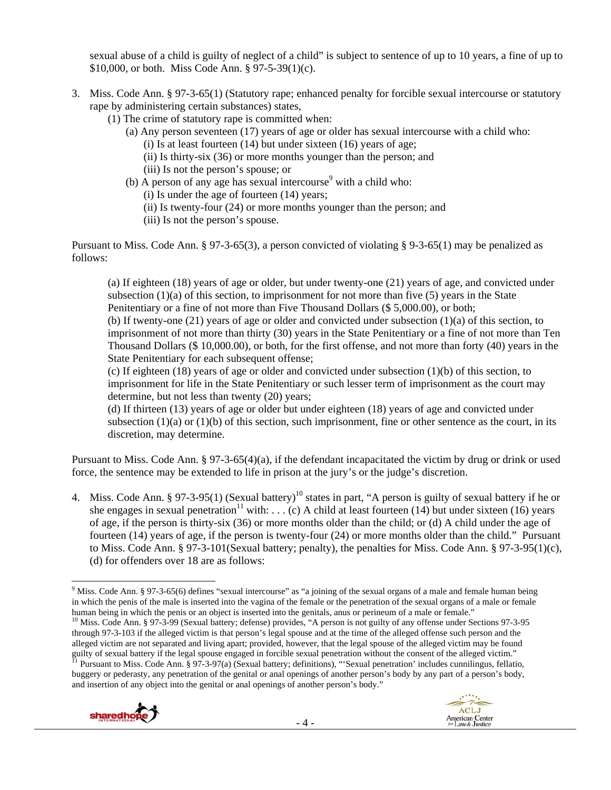sexual abuse of a child is guilty of neglect of a child" is subject to sentence of up to 10 years, a fine of up to \$10,000, or both. Miss Code Ann. § 97-5-39(1)(c).

- 3. Miss. Code Ann. § 97-3-65(1) (Statutory rape; enhanced penalty for forcible sexual intercourse or statutory rape by administering certain substances) states,
	- (1) The crime of statutory rape is committed when:
		- (a) Any person seventeen (17) years of age or older has sexual intercourse with a child who:
			- (i) Is at least fourteen  $(14)$  but under sixteen  $(16)$  years of age;
			- (ii) Is thirty-six (36) or more months younger than the person; and
			- (iii) Is not the person's spouse; or
		- (b) A person of any age has sexual intercourse<sup>9</sup> with a child who:
			- (i) Is under the age of fourteen (14) years;
			- (ii) Is twenty-four (24) or more months younger than the person; and
			- (iii) Is not the person's spouse.

Pursuant to Miss. Code Ann. § 97-3-65(3), a person convicted of violating § 9-3-65(1) may be penalized as follows:

(a) If eighteen (18) years of age or older, but under twenty-one (21) years of age, and convicted under subsection  $(1)(a)$  of this section, to imprisonment for not more than five (5) years in the State Penitentiary or a fine of not more than Five Thousand Dollars (\$ 5,000.00), or both; (b) If twenty-one  $(21)$  years of age or older and convicted under subsection  $(1)(a)$  of this section, to

imprisonment of not more than thirty (30) years in the State Penitentiary or a fine of not more than Ten Thousand Dollars (\$ 10,000.00), or both, for the first offense, and not more than forty (40) years in the State Penitentiary for each subsequent offense;

(c) If eighteen (18) years of age or older and convicted under subsection (1)(b) of this section, to imprisonment for life in the State Penitentiary or such lesser term of imprisonment as the court may determine, but not less than twenty (20) years;

(d) If thirteen (13) years of age or older but under eighteen (18) years of age and convicted under subsection  $(1)(a)$  or  $(1)(b)$  of this section, such imprisonment, fine or other sentence as the court, in its discretion, may determine.

Pursuant to Miss. Code Ann. § 97-3-65(4)(a), if the defendant incapacitated the victim by drug or drink or used force, the sentence may be extended to life in prison at the jury's or the judge's discretion.

4. Miss. Code Ann. § 97-3-95(1) (Sexual battery)<sup>10</sup> states in part, "A person is guilty of sexual battery if he or she engages in sexual penetration<sup>11</sup> with: . . . (c) A child at least fourteen (14) but under sixteen (16) years of age, if the person is thirty-six (36) or more months older than the child; or (d) A child under the age of fourteen (14) years of age, if the person is twenty-four (24) or more months older than the child." Pursuant to Miss. Code Ann. § 97-3-101(Sexual battery; penalty), the penalties for Miss. Code Ann. § 97-3-95(1)(c), (d) for offenders over 18 are as follows:

human being in which the penis or an object is inserted into the genitals, anus or perineum of a male or female."<br><sup>10</sup> Miss. Code Ann. § 97-3-99 (Sexual battery; defense) provides, "A person is not guilty of any offense un through 97-3-103 if the alleged victim is that person's legal spouse and at the time of the alleged offense such person and the alleged victim are not separated and living apart; provided, however, that the legal spouse of the alleged victim may be found guilty of sexual battery if the legal spouse engaged in forcible sexual penetration without the consent of the alleged victim."<br><sup>11</sup> Pursuant to Miss. Code Ann. § 97-3-97(a) (Sexual battery; definitions), "Sexual penetrati buggery or pederasty, any penetration of the genital or anal openings of another person's body by any part of a person's body, and insertion of any object into the genital or anal openings of another person's body."



 <sup>9</sup> Miss. Code Ann. § 97-3-65(6) defines "sexual intercourse" as "a joining of the sexual organs of a male and female human being in which the penis of the male is inserted into the vagina of the female or the penetration of the sexual organs of a male or female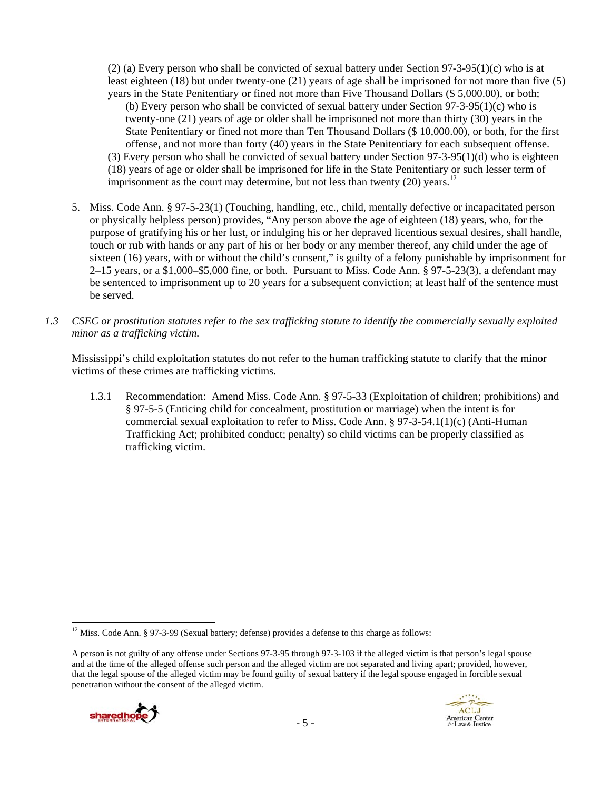(2) (a) Every person who shall be convicted of sexual battery under Section 97-3-95(1)(c) who is at least eighteen (18) but under twenty-one (21) years of age shall be imprisoned for not more than five (5) years in the State Penitentiary or fined not more than Five Thousand Dollars (\$ 5,000.00), or both;

(b) Every person who shall be convicted of sexual battery under Section 97-3-95(1)(c) who is twenty-one (21) years of age or older shall be imprisoned not more than thirty (30) years in the State Penitentiary or fined not more than Ten Thousand Dollars (\$ 10,000.00), or both, for the first offense, and not more than forty (40) years in the State Penitentiary for each subsequent offense. (3) Every person who shall be convicted of sexual battery under Section 97-3-95(1)(d) who is eighteen (18) years of age or older shall be imprisoned for life in the State Penitentiary or such lesser term of imprisonment as the court may determine, but not less than twenty (20) years.<sup>12</sup>

- 5. Miss. Code Ann. § 97-5-23(1) (Touching, handling, etc., child, mentally defective or incapacitated person or physically helpless person) provides, "Any person above the age of eighteen (18) years, who, for the purpose of gratifying his or her lust, or indulging his or her depraved licentious sexual desires, shall handle, touch or rub with hands or any part of his or her body or any member thereof, any child under the age of sixteen (16) years, with or without the child's consent," is guilty of a felony punishable by imprisonment for  $2-15$  years, or a \$1,000–\$5,000 fine, or both. Pursuant to Miss. Code Ann. § 97-5-23(3), a defendant may be sentenced to imprisonment up to 20 years for a subsequent conviction; at least half of the sentence must be served.
- *1.3 CSEC or prostitution statutes refer to the sex trafficking statute to identify the commercially sexually exploited minor as a trafficking victim.*

Mississippi's child exploitation statutes do not refer to the human trafficking statute to clarify that the minor victims of these crimes are trafficking victims.

1.3.1 Recommendation: Amend Miss. Code Ann. § 97-5-33 (Exploitation of children; prohibitions) and § 97-5-5 (Enticing child for concealment, prostitution or marriage) when the intent is for commercial sexual exploitation to refer to Miss. Code Ann. § 97-3-54.1(1)(c) (Anti-Human Trafficking Act; prohibited conduct; penalty) so child victims can be properly classified as trafficking victim.

A person is not guilty of any offense under Sections 97-3-95 through 97-3-103 if the alleged victim is that person's legal spouse and at the time of the alleged offense such person and the alleged victim are not separated and living apart; provided, however, that the legal spouse of the alleged victim may be found guilty of sexual battery if the legal spouse engaged in forcible sexual penetration without the consent of the alleged victim.





 $12$  Miss. Code Ann. § 97-3-99 (Sexual battery; defense) provides a defense to this charge as follows: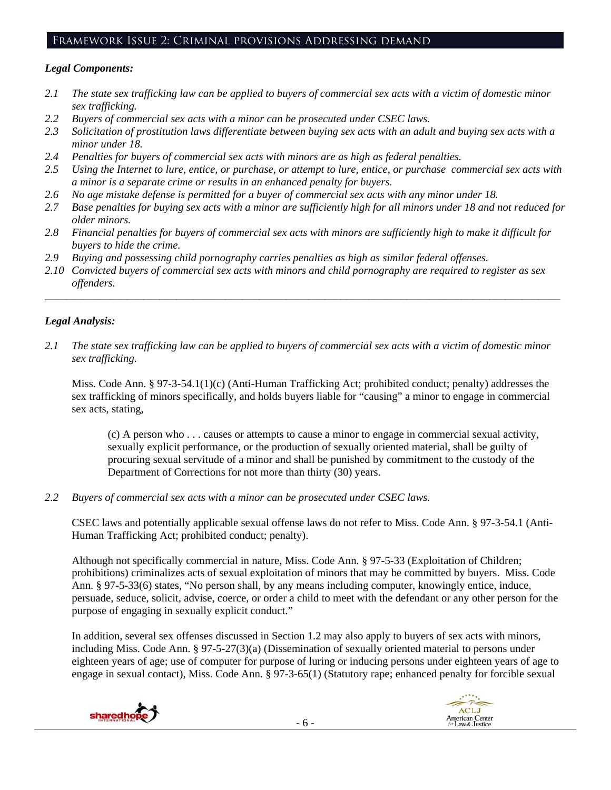## Framework Issue 2: Criminal provisions Addressing demand

# *Legal Components:*

- *2.1 The state sex trafficking law can be applied to buyers of commercial sex acts with a victim of domestic minor sex trafficking.*
- *2.2 Buyers of commercial sex acts with a minor can be prosecuted under CSEC laws.*
- *2.3 Solicitation of prostitution laws differentiate between buying sex acts with an adult and buying sex acts with a minor under 18.*
- *2.4 Penalties for buyers of commercial sex acts with minors are as high as federal penalties.*
- *2.5 Using the Internet to lure, entice, or purchase, or attempt to lure, entice, or purchase commercial sex acts with a minor is a separate crime or results in an enhanced penalty for buyers.*
- *2.6 No age mistake defense is permitted for a buyer of commercial sex acts with any minor under 18.*
- *2.7 Base penalties for buying sex acts with a minor are sufficiently high for all minors under 18 and not reduced for older minors.*
- *2.8 Financial penalties for buyers of commercial sex acts with minors are sufficiently high to make it difficult for buyers to hide the crime.*
- *2.9 Buying and possessing child pornography carries penalties as high as similar federal offenses.*
- *2.10 Convicted buyers of commercial sex acts with minors and child pornography are required to register as sex offenders.*

\_\_\_\_\_\_\_\_\_\_\_\_\_\_\_\_\_\_\_\_\_\_\_\_\_\_\_\_\_\_\_\_\_\_\_\_\_\_\_\_\_\_\_\_\_\_\_\_\_\_\_\_\_\_\_\_\_\_\_\_\_\_\_\_\_\_\_\_\_\_\_\_\_\_\_\_\_\_\_\_\_\_\_\_\_\_\_\_\_\_\_\_\_\_

# *Legal Analysis:*

*2.1 The state sex trafficking law can be applied to buyers of commercial sex acts with a victim of domestic minor sex trafficking.* 

Miss. Code Ann. § 97-3-54.1(1)(c) (Anti-Human Trafficking Act; prohibited conduct; penalty) addresses the sex trafficking of minors specifically, and holds buyers liable for "causing" a minor to engage in commercial sex acts, stating,

(c) A person who . . . causes or attempts to cause a minor to engage in commercial sexual activity, sexually explicit performance, or the production of sexually oriented material, shall be guilty of procuring sexual servitude of a minor and shall be punished by commitment to the custody of the Department of Corrections for not more than thirty (30) years.

*2.2 Buyers of commercial sex acts with a minor can be prosecuted under CSEC laws.* 

CSEC laws and potentially applicable sexual offense laws do not refer to Miss. Code Ann. § 97-3-54.1 (Anti-Human Trafficking Act; prohibited conduct; penalty).

Although not specifically commercial in nature, Miss. Code Ann. § 97-5-33 (Exploitation of Children; prohibitions) criminalizes acts of sexual exploitation of minors that may be committed by buyers. Miss. Code Ann. § 97-5-33(6) states, "No person shall, by any means including computer, knowingly entice, induce, persuade, seduce, solicit, advise, coerce, or order a child to meet with the defendant or any other person for the purpose of engaging in sexually explicit conduct."

In addition, several sex offenses discussed in Section 1.2 may also apply to buyers of sex acts with minors, including Miss. Code Ann. § 97-5-27(3)(a) (Dissemination of sexually oriented material to persons under eighteen years of age; use of computer for purpose of luring or inducing persons under eighteen years of age to engage in sexual contact), Miss. Code Ann. § 97-3-65(1) (Statutory rape; enhanced penalty for forcible sexual

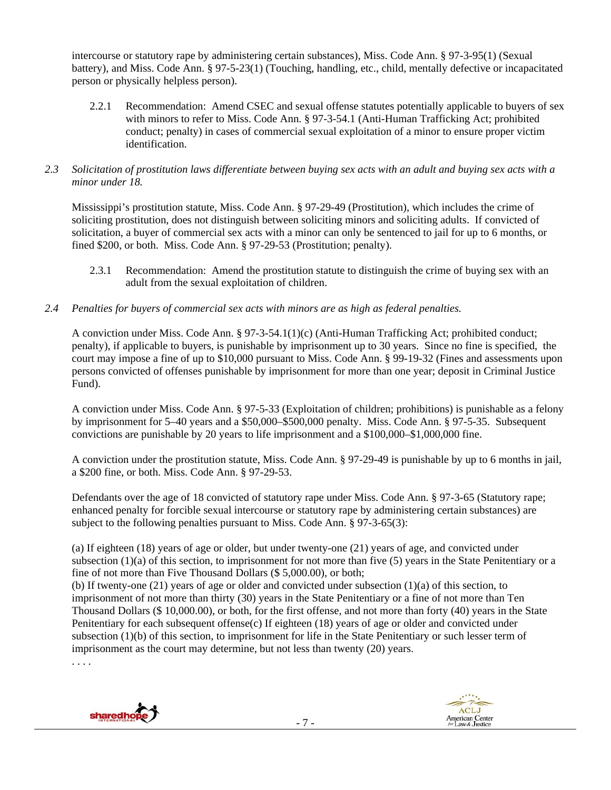intercourse or statutory rape by administering certain substances), Miss. Code Ann. § 97-3-95(1) (Sexual battery), and Miss. Code Ann. § 97-5-23(1) (Touching, handling, etc., child, mentally defective or incapacitated person or physically helpless person).

- 2.2.1 Recommendation: Amend CSEC and sexual offense statutes potentially applicable to buyers of sex with minors to refer to Miss. Code Ann. § 97-3-54.1 (Anti-Human Trafficking Act; prohibited conduct; penalty) in cases of commercial sexual exploitation of a minor to ensure proper victim identification.
- *2.3 Solicitation of prostitution laws differentiate between buying sex acts with an adult and buying sex acts with a minor under 18.*

Mississippi's prostitution statute, Miss. Code Ann. § 97-29-49 (Prostitution), which includes the crime of soliciting prostitution, does not distinguish between soliciting minors and soliciting adults. If convicted of solicitation, a buyer of commercial sex acts with a minor can only be sentenced to jail for up to 6 months, or fined \$200, or both. Miss. Code Ann. § 97-29-53 (Prostitution; penalty).

- 2.3.1 Recommendation: Amend the prostitution statute to distinguish the crime of buying sex with an adult from the sexual exploitation of children.
- *2.4 Penalties for buyers of commercial sex acts with minors are as high as federal penalties.*

A conviction under Miss. Code Ann. § 97-3-54.1(1)(c) (Anti-Human Trafficking Act; prohibited conduct; penalty), if applicable to buyers, is punishable by imprisonment up to 30 years. Since no fine is specified, the court may impose a fine of up to \$10,000 pursuant to Miss. Code Ann. § 99-19-32 (Fines and assessments upon persons convicted of offenses punishable by imprisonment for more than one year; deposit in Criminal Justice Fund).

A conviction under Miss. Code Ann. § 97-5-33 (Exploitation of children; prohibitions) is punishable as a felony by imprisonment for 5–40 years and a \$50,000–\$500,000 penalty. Miss. Code Ann. § 97-5-35. Subsequent convictions are punishable by 20 years to life imprisonment and a \$100,000–\$1,000,000 fine.

A conviction under the prostitution statute, Miss. Code Ann. § 97-29-49 is punishable by up to 6 months in jail, a \$200 fine, or both. Miss. Code Ann. § 97-29-53.

Defendants over the age of 18 convicted of statutory rape under Miss. Code Ann. § 97-3-65 (Statutory rape; enhanced penalty for forcible sexual intercourse or statutory rape by administering certain substances) are subject to the following penalties pursuant to Miss. Code Ann. § 97-3-65(3):

(a) If eighteen (18) years of age or older, but under twenty-one (21) years of age, and convicted under subsection  $(1)(a)$  of this section, to imprisonment for not more than five (5) years in the State Penitentiary or a fine of not more than Five Thousand Dollars (\$ 5,000.00), or both;

(b) If twenty-one (21) years of age or older and convicted under subsection (1)(a) of this section, to imprisonment of not more than thirty (30) years in the State Penitentiary or a fine of not more than Ten Thousand Dollars (\$ 10,000.00), or both, for the first offense, and not more than forty (40) years in the State Penitentiary for each subsequent offense(c) If eighteen  $(18)$  years of age or older and convicted under subsection (1)(b) of this section, to imprisonment for life in the State Penitentiary or such lesser term of imprisonment as the court may determine, but not less than twenty (20) years.

. . . .



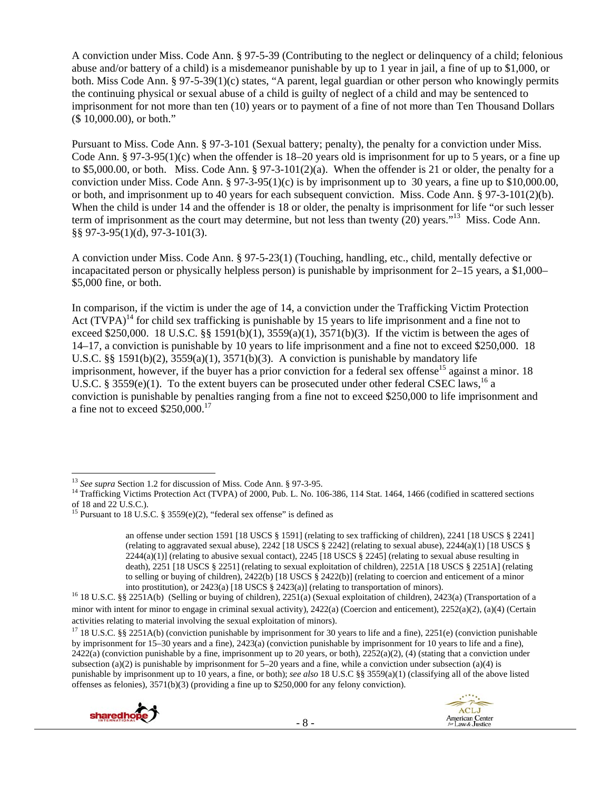A conviction under Miss. Code Ann. § 97-5-39 (Contributing to the neglect or delinquency of a child; felonious abuse and/or battery of a child) is a misdemeanor punishable by up to 1 year in jail, a fine of up to \$1,000, or both. Miss Code Ann. § 97-5-39(1)(c) states, "A parent, legal guardian or other person who knowingly permits the continuing physical or sexual abuse of a child is guilty of neglect of a child and may be sentenced to imprisonment for not more than ten (10) years or to payment of a fine of not more than Ten Thousand Dollars (\$ 10,000.00), or both."

Pursuant to Miss. Code Ann. § 97-3-101 (Sexual battery; penalty), the penalty for a conviction under Miss. Code Ann. § 97-3-95(1)(c) when the offender is 18–20 years old is imprisonment for up to 5 years, or a fine up to \$5,000.00, or both. Miss. Code Ann. §  $97-3-101(2)(a)$ . When the offender is 21 or older, the penalty for a conviction under Miss. Code Ann. §  $97-3-95(1)(c)$  is by imprisonment up to 30 years, a fine up to \$10,000.00, or both, and imprisonment up to 40 years for each subsequent conviction. Miss. Code Ann. § 97-3-101(2)(b). When the child is under 14 and the offender is 18 or older, the penalty is imprisonment for life "or such lesser term of imprisonment as the court may determine, but not less than twenty  $(20)$  years."<sup>13</sup> Miss. Code Ann. §§ 97-3-95(1)(d), 97-3-101(3).

A conviction under Miss. Code Ann. § 97-5-23(1) (Touching, handling, etc., child, mentally defective or incapacitated person or physically helpless person) is punishable by imprisonment for 2–15 years, a \$1,000– \$5,000 fine, or both.

In comparison, if the victim is under the age of 14, a conviction under the Trafficking Victim Protection Act  $(TVPA)^{14}$  for child sex trafficking is punishable by 15 years to life imprisonment and a fine not to exceed \$250,000. 18 U.S.C. §§ 1591(b)(1), 3559(a)(1), 3571(b)(3). If the victim is between the ages of 14–17, a conviction is punishable by 10 years to life imprisonment and a fine not to exceed \$250,000. 18 U.S.C. §§ 1591(b)(2),  $3559(a)(1)$ ,  $3571(b)(3)$ . A conviction is punishable by mandatory life imprisonment, however, if the buyer has a prior conviction for a federal sex offense<sup>15</sup> against a minor. 18 U.S.C. § 3559(e)(1). To the extent buyers can be prosecuted under other federal CSEC laws,<sup>16</sup> a conviction is punishable by penalties ranging from a fine not to exceed \$250,000 to life imprisonment and a fine not to exceed \$250,000.<sup>17</sup>

<sup>&</sup>lt;sup>17</sup> 18 U.S.C. §§ 2251A(b) (conviction punishable by imprisonment for 30 years to life and a fine), 2251(e) (conviction punishable by imprisonment for 15–30 years and a fine), 2423(a) (conviction punishable by imprisonment for 10 years to life and a fine),  $2422(a)$  (conviction punishable by a fine, imprisonment up to 20 years, or both),  $2252(a)(2)$ , (4) (stating that a conviction under subsection (a)(2) is punishable by imprisonment for  $5-20$  years and a fine, while a conviction under subsection (a)(4) is punishable by imprisonment up to 10 years, a fine, or both); *see also* 18 U.S.C §§ 3559(a)(1) (classifying all of the above listed offenses as felonies), 3571(b)(3) (providing a fine up to \$250,000 for any felony conviction).



<sup>&</sup>lt;sup>13</sup> See supra Section 1.2 for discussion of Miss. Code Ann. § 97-3-95.

<sup>&</sup>lt;sup>14</sup> Trafficking Victims Protection Act (TVPA) of 2000, Pub. L. No. 106-386, 114 Stat. 1464, 1466 (codified in scattered sections of 18 and 22 U.S.C.).

<sup>&</sup>lt;sup>15</sup> Pursuant to 18 U.S.C. § 3559(e)(2), "federal sex offense" is defined as

an offense under section 1591 [18 USCS § 1591] (relating to sex trafficking of children), 2241 [18 USCS § 2241] (relating to aggravated sexual abuse),  $2242$  [18 USCS § 2242] (relating to sexual abuse),  $2244(a)(1)$  [18 USCS §  $2244(a)(1)$  (relating to abusive sexual contact),  $2245$  [18 USCS § 2245] (relating to sexual abuse resulting in death), 2251 [18 USCS § 2251] (relating to sexual exploitation of children), 2251A [18 USCS § 2251A] (relating to selling or buying of children), 2422(b) [18 USCS § 2422(b)] (relating to coercion and enticement of a minor

into prostitution), or 2423(a) [18 USCS § 2423(a)] (relating to transportation of minors). 16 18 U.S.C. §§ 2251A(b) (Selling or buying of children), 2251(a) (Sexual exploitation of children), 2423(a) (Transportation of a minor with intent for minor to engage in criminal sexual activity), 2422(a) (Coercion and enticement), 2252(a)(2), (a)(4) (Certain activities relating to material involving the sexual exploitation of minors).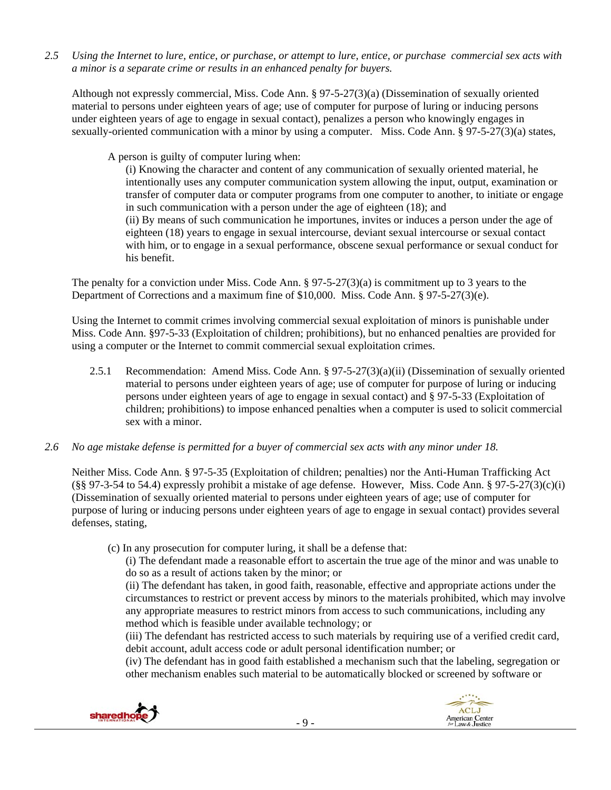*2.5 Using the Internet to lure, entice, or purchase, or attempt to lure, entice, or purchase commercial sex acts with a minor is a separate crime or results in an enhanced penalty for buyers.* 

Although not expressly commercial, Miss. Code Ann. § 97-5-27(3)(a) (Dissemination of sexually oriented material to persons under eighteen years of age; use of computer for purpose of luring or inducing persons under eighteen years of age to engage in sexual contact), penalizes a person who knowingly engages in sexually-oriented communication with a minor by using a computer. Miss. Code Ann. § 97-5-27(3)(a) states,

A person is guilty of computer luring when:

(i) Knowing the character and content of any communication of sexually oriented material, he intentionally uses any computer communication system allowing the input, output, examination or transfer of computer data or computer programs from one computer to another, to initiate or engage in such communication with a person under the age of eighteen (18); and (ii) By means of such communication he importunes, invites or induces a person under the age of eighteen (18) years to engage in sexual intercourse, deviant sexual intercourse or sexual contact with him, or to engage in a sexual performance, obscene sexual performance or sexual conduct for his benefit.

The penalty for a conviction under Miss. Code Ann. § 97-5-27(3)(a) is commitment up to 3 years to the Department of Corrections and a maximum fine of \$10,000. Miss. Code Ann. § 97-5-27(3)(e).

Using the Internet to commit crimes involving commercial sexual exploitation of minors is punishable under Miss. Code Ann. §97-5-33 (Exploitation of children; prohibitions), but no enhanced penalties are provided for using a computer or the Internet to commit commercial sexual exploitation crimes.

- 2.5.1 Recommendation: Amend Miss. Code Ann. § 97-5-27(3)(a)(ii) (Dissemination of sexually oriented material to persons under eighteen years of age; use of computer for purpose of luring or inducing persons under eighteen years of age to engage in sexual contact) and § 97-5-33 (Exploitation of children; prohibitions) to impose enhanced penalties when a computer is used to solicit commercial sex with a minor.
- *2.6 No age mistake defense is permitted for a buyer of commercial sex acts with any minor under 18.*

Neither Miss. Code Ann. § 97-5-35 (Exploitation of children; penalties) nor the Anti-Human Trafficking Act  $(\S$ § 97-3-54 to 54.4) expressly prohibit a mistake of age defense. However, Miss. Code Ann. § 97-5-27(3)(c)(i) (Dissemination of sexually oriented material to persons under eighteen years of age; use of computer for purpose of luring or inducing persons under eighteen years of age to engage in sexual contact) provides several defenses, stating,

(c) In any prosecution for computer luring, it shall be a defense that:

(i) The defendant made a reasonable effort to ascertain the true age of the minor and was unable to do so as a result of actions taken by the minor; or

(ii) The defendant has taken, in good faith, reasonable, effective and appropriate actions under the circumstances to restrict or prevent access by minors to the materials prohibited, which may involve any appropriate measures to restrict minors from access to such communications, including any method which is feasible under available technology; or

(iii) The defendant has restricted access to such materials by requiring use of a verified credit card, debit account, adult access code or adult personal identification number; or

(iv) The defendant has in good faith established a mechanism such that the labeling, segregation or other mechanism enables such material to be automatically blocked or screened by software or



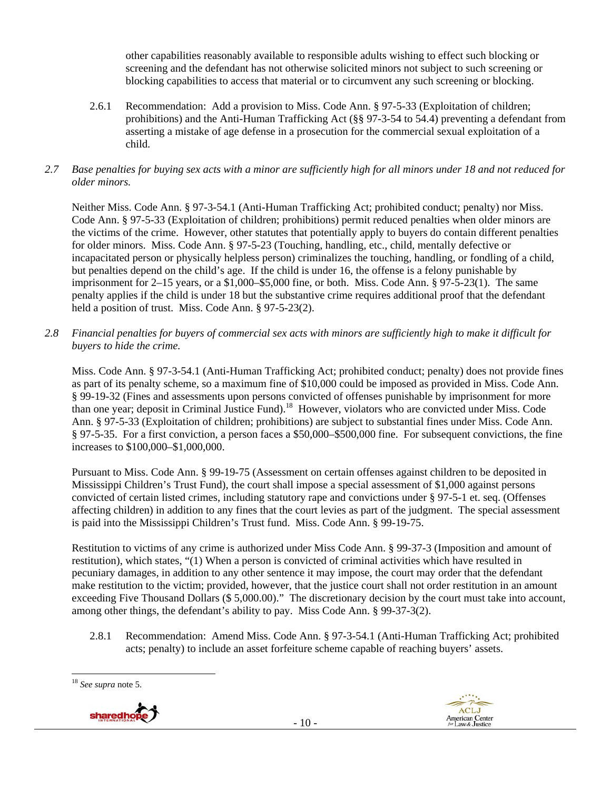other capabilities reasonably available to responsible adults wishing to effect such blocking or screening and the defendant has not otherwise solicited minors not subject to such screening or blocking capabilities to access that material or to circumvent any such screening or blocking.

2.6.1 Recommendation: Add a provision to Miss. Code Ann. § 97-5-33 (Exploitation of children; prohibitions) and the Anti-Human Trafficking Act (§§ 97-3-54 to 54.4) preventing a defendant from asserting a mistake of age defense in a prosecution for the commercial sexual exploitation of a child.

# *2.7 Base penalties for buying sex acts with a minor are sufficiently high for all minors under 18 and not reduced for older minors.*

Neither Miss. Code Ann. § 97-3-54.1 (Anti-Human Trafficking Act; prohibited conduct; penalty) nor Miss. Code Ann. § 97-5-33 (Exploitation of children; prohibitions) permit reduced penalties when older minors are the victims of the crime. However, other statutes that potentially apply to buyers do contain different penalties for older minors. Miss. Code Ann. § 97-5-23 (Touching, handling, etc., child, mentally defective or incapacitated person or physically helpless person) criminalizes the touching, handling, or fondling of a child, but penalties depend on the child's age. If the child is under 16, the offense is a felony punishable by imprisonment for 2–15 years, or a \$1,000–\$5,000 fine, or both. Miss. Code Ann. § 97-5-23(1). The same penalty applies if the child is under 18 but the substantive crime requires additional proof that the defendant held a position of trust. Miss. Code Ann. § 97-5-23(2).

*2.8 Financial penalties for buyers of commercial sex acts with minors are sufficiently high to make it difficult for buyers to hide the crime.* 

Miss. Code Ann. § 97-3-54.1 (Anti-Human Trafficking Act; prohibited conduct; penalty) does not provide fines as part of its penalty scheme, so a maximum fine of \$10,000 could be imposed as provided in Miss. Code Ann. § 99-19-32 (Fines and assessments upon persons convicted of offenses punishable by imprisonment for more than one year; deposit in Criminal Justice Fund).<sup>18</sup> However, violators who are convicted under Miss. Code Ann. § 97-5-33 (Exploitation of children; prohibitions) are subject to substantial fines under Miss. Code Ann. § 97-5-35. For a first conviction, a person faces a \$50,000–\$500,000 fine. For subsequent convictions, the fine increases to \$100,000–\$1,000,000.

Pursuant to Miss. Code Ann. § 99-19-75 (Assessment on certain offenses against children to be deposited in Mississippi Children's Trust Fund), the court shall impose a special assessment of \$1,000 against persons convicted of certain listed crimes, including statutory rape and convictions under § 97-5-1 et. seq. (Offenses affecting children) in addition to any fines that the court levies as part of the judgment. The special assessment is paid into the Mississippi Children's Trust fund. Miss. Code Ann. § 99-19-75.

Restitution to victims of any crime is authorized under Miss Code Ann. § 99-37-3 (Imposition and amount of restitution), which states, "(1) When a person is convicted of criminal activities which have resulted in pecuniary damages, in addition to any other sentence it may impose, the court may order that the defendant make restitution to the victim; provided, however, that the justice court shall not order restitution in an amount exceeding Five Thousand Dollars (\$ 5,000.00)." The discretionary decision by the court must take into account, among other things, the defendant's ability to pay. Miss Code Ann. § 99-37-3(2).

2.8.1 Recommendation: Amend Miss. Code Ann. § 97-3-54.1 (Anti-Human Trafficking Act; prohibited acts; penalty) to include an asset forfeiture scheme capable of reaching buyers' assets.

 <sup>18</sup> *See supra* note 5.



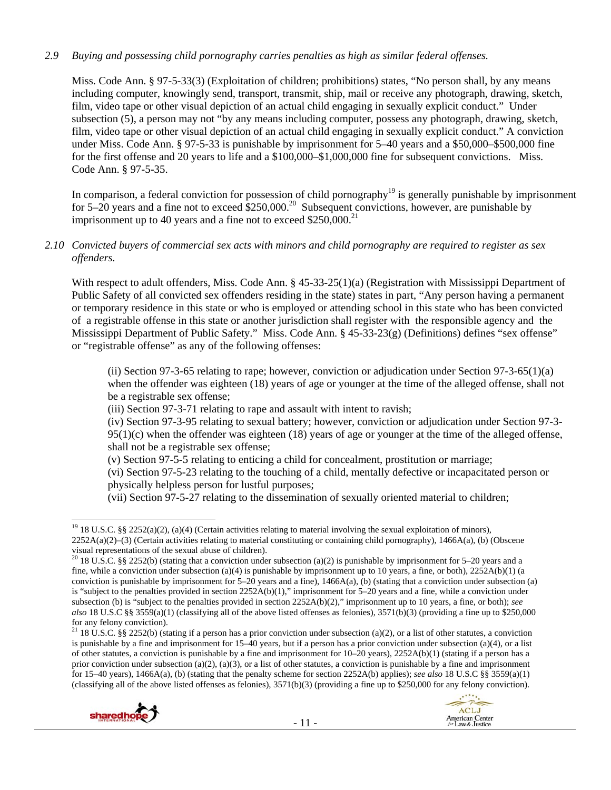# *2.9 Buying and possessing child pornography carries penalties as high as similar federal offenses.*

Miss. Code Ann. § 97-5-33(3) (Exploitation of children; prohibitions) states, "No person shall, by any means including computer, knowingly send, transport, transmit, ship, mail or receive any photograph, drawing, sketch, film, video tape or other visual depiction of an actual child engaging in sexually explicit conduct." Under subsection (5), a person may not "by any means including computer, possess any photograph, drawing, sketch, film, video tape or other visual depiction of an actual child engaging in sexually explicit conduct." A conviction under Miss. Code Ann. § 97-5-33 is punishable by imprisonment for 5–40 years and a \$50,000–\$500,000 fine for the first offense and 20 years to life and a \$100,000–\$1,000,000 fine for subsequent convictions. Miss. Code Ann. § 97-5-35.

In comparison, a federal conviction for possession of child pornography<sup>19</sup> is generally punishable by imprisonment for 5–20 years and a fine not to exceed \$250,000.<sup>20</sup> Subsequent convictions, however, are punishable by imprisonment up to 40 years and a fine not to exceed  $$250,000$ <sup>21</sup>

## *2.10 Convicted buyers of commercial sex acts with minors and child pornography are required to register as sex offenders.*

With respect to adult offenders, Miss. Code Ann. § 45-33-25(1)(a) (Registration with Mississippi Department of Public Safety of all convicted sex offenders residing in the state) states in part, "Any person having a permanent or temporary residence in this state or who is employed or attending school in this state who has been convicted of a registrable offense in this state or another jurisdiction shall register with the responsible agency and the Mississippi Department of Public Safety." Miss. Code Ann. § 45-33-23(g) (Definitions) defines "sex offense" or "registrable offense" as any of the following offenses:

(ii) Section 97-3-65 relating to rape; however, conviction or adjudication under Section 97-3-65(1)(a) when the offender was eighteen (18) years of age or younger at the time of the alleged offense, shall not be a registrable sex offense;

(iii) Section 97-3-71 relating to rape and assault with intent to ravish;

(iv) Section 97-3-95 relating to sexual battery; however, conviction or adjudication under Section 97-3-  $95(1)(c)$  when the offender was eighteen (18) years of age or younger at the time of the alleged offense, shall not be a registrable sex offense;

(v) Section 97-5-5 relating to enticing a child for concealment, prostitution or marriage;

(vi) Section 97-5-23 relating to the touching of a child, mentally defective or incapacitated person or physically helpless person for lustful purposes;

(vii) Section 97-5-27 relating to the dissemination of sexually oriented material to children;

<sup>&</sup>lt;sup>21</sup> 18 U.S.C. §§ 2252(b) (stating if a person has a prior conviction under subsection (a)(2), or a list of other statutes, a conviction is punishable by a fine and imprisonment for 15–40 years, but if a person has a prior conviction under subsection (a)(4), or a list of other statutes, a conviction is punishable by a fine and imprisonment for 10–20 years), 2252A(b)(1) (stating if a person has a prior conviction under subsection (a)(2), (a)(3), or a list of other statutes, a conviction is punishable by a fine and imprisonment for 15–40 years), 1466A(a), (b) (stating that the penalty scheme for section 2252A(b) applies); *see also* 18 U.S.C §§ 3559(a)(1) (classifying all of the above listed offenses as felonies),  $3571(b)(3)$  (providing a fine up to \$250,000 for any felony conviction).





 <sup>19</sup> 18 U.S.C. §§ 2252(a)(2), (a)(4) (Certain activities relating to material involving the sexual exploitation of minors), 2252A(a)(2)–(3) (Certain activities relating to material constituting or containing child pornography), 1466A(a), (b) (Obscene visual representations of the sexual abuse of children).

<sup>&</sup>lt;sup>20</sup> 18 U.S.C. §§ 2252(b) (stating that a conviction under subsection (a)(2) is punishable by imprisonment for 5–20 years and a fine, while a conviction under subsection (a)(4) is punishable by imprisonment up to 10 years, a fine, or both),  $2252A(b)(1)$  (a conviction is punishable by imprisonment for 5–20 years and a fine), 1466A(a), (b) (stating that a conviction under subsection (a) is "subject to the penalties provided in section 2252A(b)(1)," imprisonment for 5–20 years and a fine, while a conviction under subsection (b) is "subject to the penalties provided in section 2252A(b)(2)," imprisonment up to 10 years, a fine, or both); *see also* 18 U.S.C §§ 3559(a)(1) (classifying all of the above listed offenses as felonies), 3571(b)(3) (providing a fine up to \$250,000 for any felony conviction).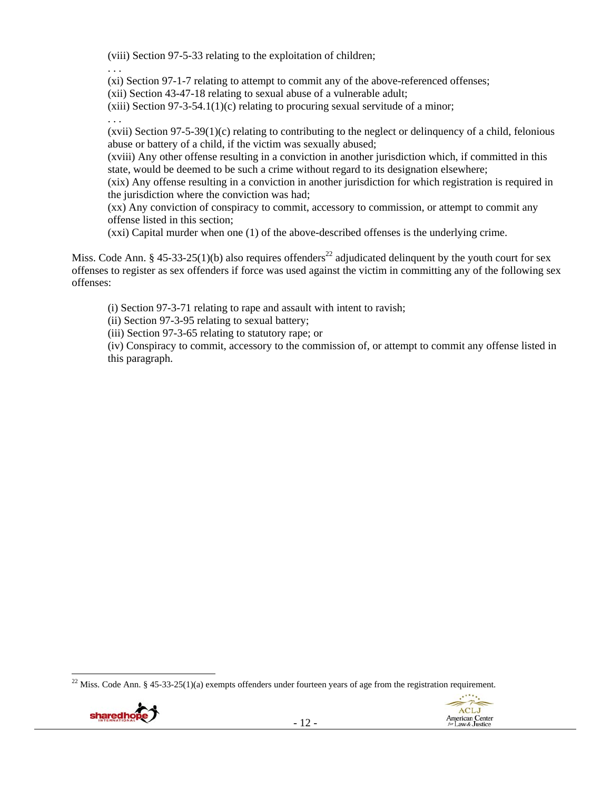(viii) Section 97-5-33 relating to the exploitation of children;

. . .

(xi) Section 97-1-7 relating to attempt to commit any of the above-referenced offenses;

(xii) Section 43-47-18 relating to sexual abuse of a vulnerable adult;

 $(xiii)$  Section 97-3-54.1(1)(c) relating to procuring sexual servitude of a minor;

. . .

(xvii) Section 97-5-39(1)(c) relating to contributing to the neglect or delinquency of a child, felonious abuse or battery of a child, if the victim was sexually abused;

(xviii) Any other offense resulting in a conviction in another jurisdiction which, if committed in this state, would be deemed to be such a crime without regard to its designation elsewhere;

(xix) Any offense resulting in a conviction in another jurisdiction for which registration is required in the jurisdiction where the conviction was had;

(xx) Any conviction of conspiracy to commit, accessory to commission, or attempt to commit any offense listed in this section;

(xxi) Capital murder when one (1) of the above-described offenses is the underlying crime.

Miss. Code Ann. § 45-33-25(1)(b) also requires offenders<sup>22</sup> adjudicated delinquent by the youth court for sex offenses to register as sex offenders if force was used against the victim in committing any of the following sex offenses:

(i) Section 97-3-71 relating to rape and assault with intent to ravish;

(ii) Section 97-3-95 relating to sexual battery;

(iii) Section 97-3-65 relating to statutory rape; or

(iv) Conspiracy to commit, accessory to the commission of, or attempt to commit any offense listed in this paragraph.

 <sup>22</sup> Miss. Code Ann. § 45-33-25(1)(a) exempts offenders under fourteen years of age from the registration requirement.



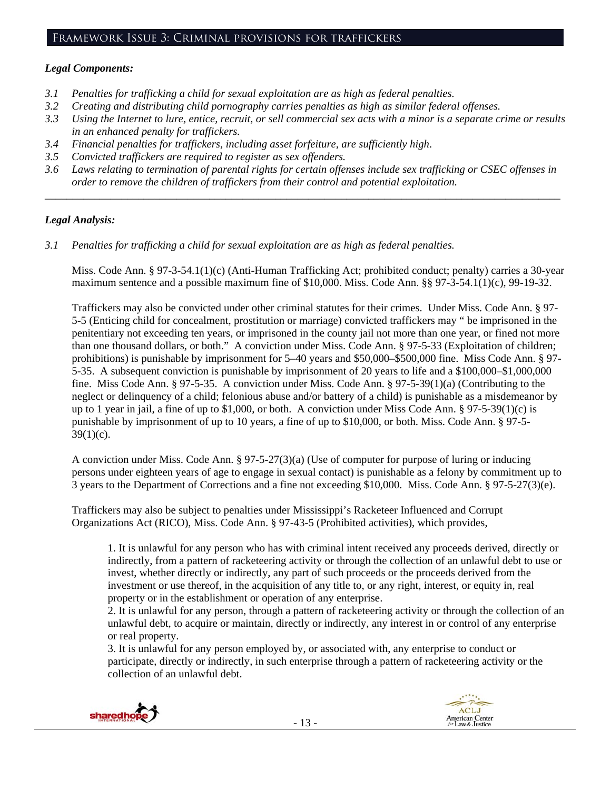# *Legal Components:*

- *3.1 Penalties for trafficking a child for sexual exploitation are as high as federal penalties.*
- *3.2 Creating and distributing child pornography carries penalties as high as similar federal offenses.*
- *3.3 Using the Internet to lure, entice, recruit, or sell commercial sex acts with a minor is a separate crime or results in an enhanced penalty for traffickers.*
- *3.4 Financial penalties for traffickers, including asset forfeiture, are sufficiently high*.
- *3.5 Convicted traffickers are required to register as sex offenders.*
- *3.6 Laws relating to termination of parental rights for certain offenses include sex trafficking or CSEC offenses in order to remove the children of traffickers from their control and potential exploitation.*

*\_\_\_\_\_\_\_\_\_\_\_\_\_\_\_\_\_\_\_\_\_\_\_\_\_\_\_\_\_\_\_\_\_\_\_\_\_\_\_\_\_\_\_\_\_\_\_\_\_\_\_\_\_\_\_\_\_\_\_\_\_\_\_\_\_\_\_\_\_\_\_\_\_\_\_\_\_\_\_\_\_\_\_\_\_\_\_\_\_\_\_\_\_\_* 

# *Legal Analysis:*

*3.1 Penalties for trafficking a child for sexual exploitation are as high as federal penalties.* 

Miss. Code Ann. § 97-3-54.1(1)(c) (Anti-Human Trafficking Act; prohibited conduct; penalty) carries a 30-year maximum sentence and a possible maximum fine of \$10,000. Miss. Code Ann. §§ 97-3-54.1(1)(c), 99-19-32.

Traffickers may also be convicted under other criminal statutes for their crimes. Under Miss. Code Ann. § 97- 5-5 (Enticing child for concealment, prostitution or marriage) convicted traffickers may " be imprisoned in the penitentiary not exceeding ten years, or imprisoned in the county jail not more than one year, or fined not more than one thousand dollars, or both." A conviction under Miss. Code Ann. § 97-5-33 (Exploitation of children; prohibitions) is punishable by imprisonment for 5–40 years and \$50,000–\$500,000 fine. Miss Code Ann. § 97- 5-35. A subsequent conviction is punishable by imprisonment of 20 years to life and a \$100,000–\$1,000,000 fine. Miss Code Ann. § 97-5-35. A conviction under Miss. Code Ann. § 97-5-39(1)(a) (Contributing to the neglect or delinquency of a child; felonious abuse and/or battery of a child) is punishable as a misdemeanor by up to 1 year in jail, a fine of up to \$1,000, or both. A conviction under Miss Code Ann. § 97-5-39(1)(c) is punishable by imprisonment of up to 10 years, a fine of up to \$10,000, or both. Miss. Code Ann. § 97-5-  $39(1)(c)$ .

A conviction under Miss. Code Ann. § 97-5-27(3)(a) (Use of computer for purpose of luring or inducing persons under eighteen years of age to engage in sexual contact) is punishable as a felony by commitment up to 3 years to the Department of Corrections and a fine not exceeding \$10,000. Miss. Code Ann. § 97-5-27(3)(e).

Traffickers may also be subject to penalties under Mississippi's Racketeer Influenced and Corrupt Organizations Act (RICO), Miss. Code Ann. § 97-43-5 (Prohibited activities), which provides,

1. It is unlawful for any person who has with criminal intent received any proceeds derived, directly or indirectly, from a pattern of racketeering activity or through the collection of an unlawful debt to use or invest, whether directly or indirectly, any part of such proceeds or the proceeds derived from the investment or use thereof, in the acquisition of any title to, or any right, interest, or equity in, real property or in the establishment or operation of any enterprise.

2. It is unlawful for any person, through a pattern of racketeering activity or through the collection of an unlawful debt, to acquire or maintain, directly or indirectly, any interest in or control of any enterprise or real property.

3. It is unlawful for any person employed by, or associated with, any enterprise to conduct or participate, directly or indirectly, in such enterprise through a pattern of racketeering activity or the collection of an unlawful debt.



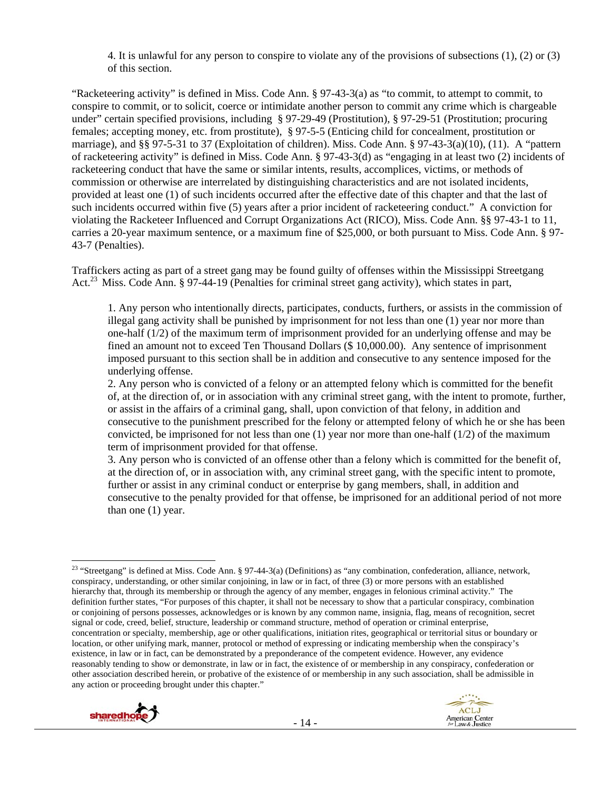4. It is unlawful for any person to conspire to violate any of the provisions of subsections (1), (2) or (3) of this section.

"Racketeering activity" is defined in Miss. Code Ann. § 97-43-3(a) as "to commit, to attempt to commit, to conspire to commit, or to solicit, coerce or intimidate another person to commit any crime which is chargeable under" certain specified provisions, including § 97-29-49 (Prostitution), § 97-29-51 (Prostitution; procuring females; accepting money, etc. from prostitute), § 97-5-5 (Enticing child for concealment, prostitution or marriage), and §§ 97-5-31 to 37 (Exploitation of children). Miss. Code Ann. § 97-43-3(a)(10), (11). A "pattern of racketeering activity" is defined in Miss. Code Ann. § 97-43-3(d) as "engaging in at least two (2) incidents of racketeering conduct that have the same or similar intents, results, accomplices, victims, or methods of commission or otherwise are interrelated by distinguishing characteristics and are not isolated incidents, provided at least one (1) of such incidents occurred after the effective date of this chapter and that the last of such incidents occurred within five (5) years after a prior incident of racketeering conduct." A conviction for violating the Racketeer Influenced and Corrupt Organizations Act (RICO), Miss. Code Ann. §§ 97-43-1 to 11, carries a 20-year maximum sentence, or a maximum fine of \$25,000, or both pursuant to Miss. Code Ann. § 97- 43-7 (Penalties).

Traffickers acting as part of a street gang may be found guilty of offenses within the Mississippi Streetgang Act.<sup>23</sup> Miss. Code Ann. § 97-44-19 (Penalties for criminal street gang activity), which states in part,

1. Any person who intentionally directs, participates, conducts, furthers, or assists in the commission of illegal gang activity shall be punished by imprisonment for not less than one (1) year nor more than one-half (1/2) of the maximum term of imprisonment provided for an underlying offense and may be fined an amount not to exceed Ten Thousand Dollars (\$ 10,000.00). Any sentence of imprisonment imposed pursuant to this section shall be in addition and consecutive to any sentence imposed for the underlying offense.

2. Any person who is convicted of a felony or an attempted felony which is committed for the benefit of, at the direction of, or in association with any criminal street gang, with the intent to promote, further, or assist in the affairs of a criminal gang, shall, upon conviction of that felony, in addition and consecutive to the punishment prescribed for the felony or attempted felony of which he or she has been convicted, be imprisoned for not less than one  $(1)$  year nor more than one-half  $(1/2)$  of the maximum term of imprisonment provided for that offense.

3. Any person who is convicted of an offense other than a felony which is committed for the benefit of, at the direction of, or in association with, any criminal street gang, with the specific intent to promote, further or assist in any criminal conduct or enterprise by gang members, shall, in addition and consecutive to the penalty provided for that offense, be imprisoned for an additional period of not more than one (1) year.

 <sup>23</sup> "Streetgang" is defined at Miss. Code Ann. § 97-44-3(a) (Definitions) as "any combination, confederation, alliance, network, conspiracy, understanding, or other similar conjoining, in law or in fact, of three (3) or more persons with an established hierarchy that, through its membership or through the agency of any member, engages in felonious criminal activity." The definition further states, "For purposes of this chapter, it shall not be necessary to show that a particular conspiracy, combination or conjoining of persons possesses, acknowledges or is known by any common name, insignia, flag, means of recognition, secret signal or code, creed, belief, structure, leadership or command structure, method of operation or criminal enterprise, concentration or specialty, membership, age or other qualifications, initiation rites, geographical or territorial situs or boundary or location, or other unifying mark, manner, protocol or method of expressing or indicating membership when the conspiracy's existence, in law or in fact, can be demonstrated by a preponderance of the competent evidence. However, any evidence reasonably tending to show or demonstrate, in law or in fact, the existence of or membership in any conspiracy, confederation or other association described herein, or probative of the existence of or membership in any such association, shall be admissible in any action or proceeding brought under this chapter."

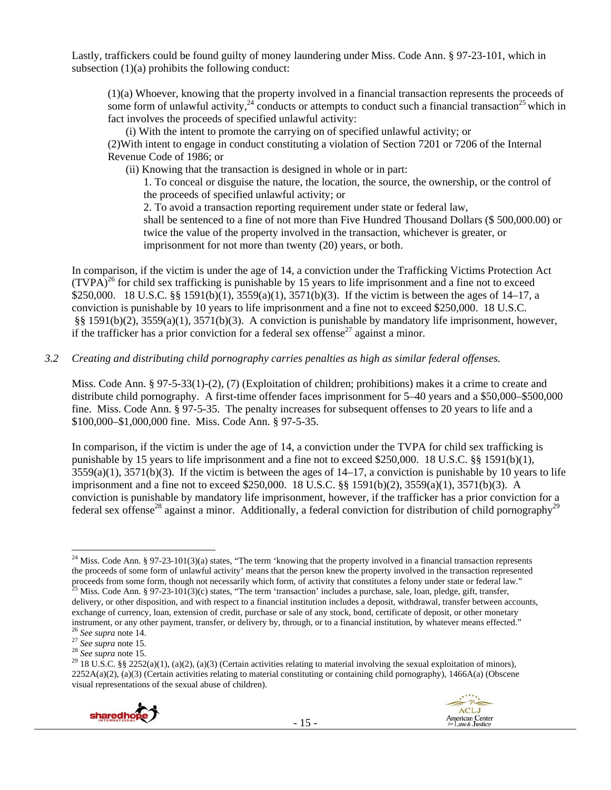Lastly, traffickers could be found guilty of money laundering under Miss. Code Ann. § 97-23-101, which in subsection (1)(a) prohibits the following conduct:

(1)(a) Whoever, knowing that the property involved in a financial transaction represents the proceeds of some form of unlawful activity,  $24 \cdot 24$  conducts or attempts to conduct such a financial transaction<sup>25</sup> which in fact involves the proceeds of specified unlawful activity:

(i) With the intent to promote the carrying on of specified unlawful activity; or (2)With intent to engage in conduct constituting a violation of Section 7201 or 7206 of the Internal Revenue Code of 1986; or

(ii) Knowing that the transaction is designed in whole or in part:

1. To conceal or disguise the nature, the location, the source, the ownership, or the control of the proceeds of specified unlawful activity; or

2. To avoid a transaction reporting requirement under state or federal law, shall be sentenced to a fine of not more than Five Hundred Thousand Dollars (\$ 500,000.00) or twice the value of the property involved in the transaction, whichever is greater, or imprisonment for not more than twenty (20) years, or both.

In comparison, if the victim is under the age of 14, a conviction under the Trafficking Victims Protection Act  $(TVPA)<sup>26</sup>$  for child sex trafficking is punishable by 15 years to life imprisonment and a fine not to exceed \$250,000. 18 U.S.C. §§ 1591(b)(1), 3559(a)(1), 3571(b)(3). If the victim is between the ages of 14–17, a conviction is punishable by 10 years to life imprisonment and a fine not to exceed \$250,000. 18 U.S.C. §§ 1591(b)(2), 3559(a)(1), 3571(b)(3). A conviction is punishable by mandatory life imprisonment, however, if the trafficker has a prior conviction for a federal sex offense<sup>27</sup> against a minor.

#### *3.2 Creating and distributing child pornography carries penalties as high as similar federal offenses.*

Miss. Code Ann. § 97-5-33(1)-(2), (7) (Exploitation of children; prohibitions) makes it a crime to create and distribute child pornography. A first-time offender faces imprisonment for 5–40 years and a \$50,000–\$500,000 fine. Miss. Code Ann. § 97-5-35. The penalty increases for subsequent offenses to 20 years to life and a \$100,000–\$1,000,000 fine. Miss. Code Ann. § 97-5-35.

In comparison, if the victim is under the age of 14, a conviction under the TVPA for child sex trafficking is punishable by 15 years to life imprisonment and a fine not to exceed \$250,000. 18 U.S.C. §§ 1591(b)(1), 3559(a)(1), 3571(b)(3). If the victim is between the ages of 14–17, a conviction is punishable by 10 years to life imprisonment and a fine not to exceed \$250,000. 18 U.S.C. §§ 1591(b)(2), 3559(a)(1), 3571(b)(3). A conviction is punishable by mandatory life imprisonment, however, if the trafficker has a prior conviction for a federal sex offense<sup>28</sup> against a minor. Additionally, a federal conviction for distribution of child pornography<sup>29</sup>

 $2252A(a)(2)$ , (a)(3) (Certain activities relating to material constituting or containing child pornography), 1466A(a) (Obscene visual representations of the sexual abuse of children).



 <sup>24</sup> Miss. Code Ann. § 97-23-101(3)(a) states, "The term 'knowing that the property involved in a financial transaction represents the proceeds of some form of unlawful activity' means that the person knew the property involved in the transaction represented proceeds from some form, though not necessarily which form, of activity that constitutes a felony under state or federal law."

<sup>&</sup>lt;sup>5</sup> Miss. Code Ann. § 97-23-101(3)(c) states, "The term 'transaction' includes a purchase, sale, loan, pledge, gift, transfer, delivery, or other disposition, and with respect to a financial institution includes a deposit, withdrawal, transfer between accounts, exchange of currency, loan, extension of credit, purchase or sale of any stock, bond, certificate of deposit, or other monetary instrument, or any other payment, transfer, or delivery by, through, or to a financial institution, by whatever means effected."<br>
<sup>26</sup> See supra note 14.<br>
<sup>27</sup> See supra note 15.<br>
<sup>28</sup> See supra note 15.<br>
<sup>28</sup> 18 U.S.C. §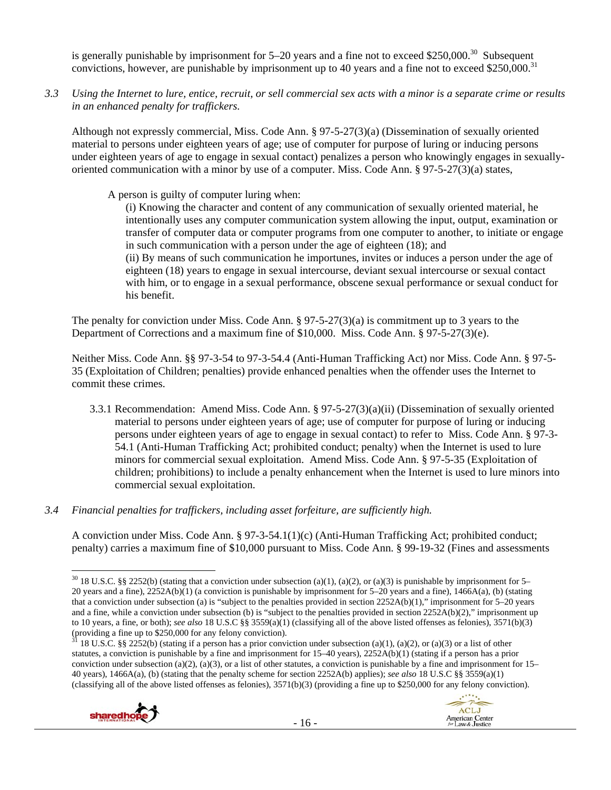is generally punishable by imprisonment for  $5-20$  years and a fine not to exceed \$250,000.<sup>30</sup> Subsequent convictions, however, are punishable by imprisonment up to 40 years and a fine not to exceed \$250,000.<sup>31</sup>

*3.3 Using the Internet to lure, entice, recruit, or sell commercial sex acts with a minor is a separate crime or results in an enhanced penalty for traffickers.* 

Although not expressly commercial, Miss. Code Ann. § 97-5-27(3)(a) (Dissemination of sexually oriented material to persons under eighteen years of age; use of computer for purpose of luring or inducing persons under eighteen years of age to engage in sexual contact) penalizes a person who knowingly engages in sexuallyoriented communication with a minor by use of a computer. Miss. Code Ann. § 97-5-27(3)(a) states,

A person is guilty of computer luring when:

(i) Knowing the character and content of any communication of sexually oriented material, he intentionally uses any computer communication system allowing the input, output, examination or transfer of computer data or computer programs from one computer to another, to initiate or engage in such communication with a person under the age of eighteen (18); and (ii) By means of such communication he importunes, invites or induces a person under the age of eighteen (18) years to engage in sexual intercourse, deviant sexual intercourse or sexual contact with him, or to engage in a sexual performance, obscene sexual performance or sexual conduct for his benefit.

The penalty for conviction under Miss. Code Ann. § 97-5-27(3)(a) is commitment up to 3 years to the Department of Corrections and a maximum fine of \$10,000. Miss. Code Ann. § 97-5-27(3)(e).

Neither Miss. Code Ann. §§ 97-3-54 to 97-3-54.4 (Anti-Human Trafficking Act) nor Miss. Code Ann. § 97-5- 35 (Exploitation of Children; penalties) provide enhanced penalties when the offender uses the Internet to commit these crimes.

- 3.3.1 Recommendation: Amend Miss. Code Ann. § 97-5-27(3)(a)(ii) (Dissemination of sexually oriented material to persons under eighteen years of age; use of computer for purpose of luring or inducing persons under eighteen years of age to engage in sexual contact) to refer to Miss. Code Ann. § 97-3- 54.1 (Anti-Human Trafficking Act; prohibited conduct; penalty) when the Internet is used to lure minors for commercial sexual exploitation. Amend Miss. Code Ann. § 97-5-35 (Exploitation of children; prohibitions) to include a penalty enhancement when the Internet is used to lure minors into commercial sexual exploitation.
- *3.4 Financial penalties for traffickers, including asset forfeiture, are sufficiently high.*

A conviction under Miss. Code Ann. § 97-3-54.1(1)(c) (Anti-Human Trafficking Act; prohibited conduct; penalty) carries a maximum fine of \$10,000 pursuant to Miss. Code Ann. § 99-19-32 (Fines and assessments

<sup>18</sup> U.S.C. §§ 2252(b) (stating if a person has a prior conviction under subsection (a)(1), (a)(2), or (a)(3) or a list of other statutes, a conviction is punishable by a fine and imprisonment for 15–40 years), 2252A(b)(1) (stating if a person has a prior conviction under subsection (a)(2), (a)(3), or a list of other statutes, a conviction is punishable by a fine and imprisonment for  $15-$ 40 years), 1466A(a), (b) (stating that the penalty scheme for section 2252A(b) applies); *see also* 18 U.S.C §§ 3559(a)(1) (classifying all of the above listed offenses as felonies),  $3571(b)(3)$  (providing a fine up to \$250,000 for any felony conviction).





 <sup>30</sup> 18 U.S.C. §§ 2252(b) (stating that a conviction under subsection (a)(1), (a)(2), or (a)(3) is punishable by imprisonment for 5– 20 years and a fine), 2252A(b)(1) (a conviction is punishable by imprisonment for 5–20 years and a fine), 1466A(a), (b) (stating that a conviction under subsection (a) is "subject to the penalties provided in section 2252A(b)(1)," imprisonment for 5–20 years and a fine, while a conviction under subsection (b) is "subject to the penalties provided in section 2252A(b)(2)," imprisonment up to 10 years, a fine, or both); *see also* 18 U.S.C §§ 3559(a)(1) (classifying all of the above listed offenses as felonies), 3571(b)(3) (providing a fine up to \$250,000 for any felony conviction).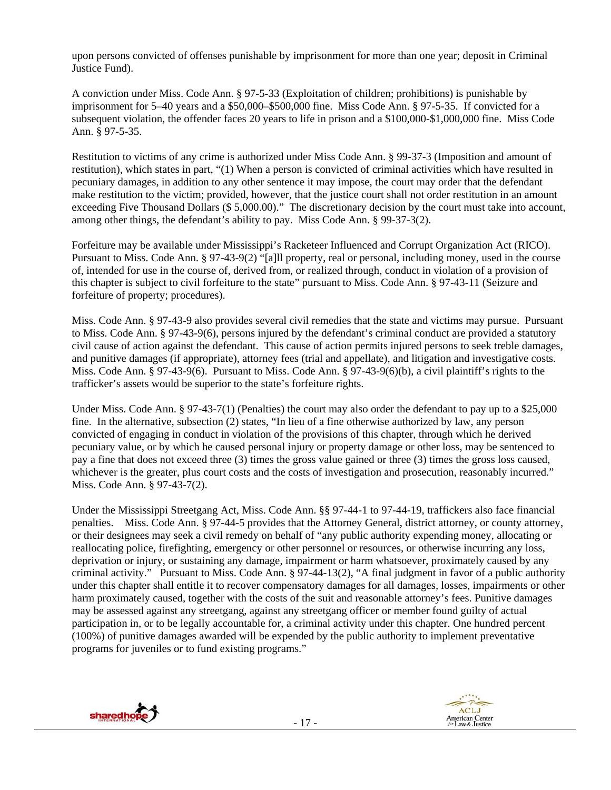upon persons convicted of offenses punishable by imprisonment for more than one year; deposit in Criminal Justice Fund).

A conviction under Miss. Code Ann. § 97-5-33 (Exploitation of children; prohibitions) is punishable by imprisonment for 5–40 years and a \$50,000–\$500,000 fine. Miss Code Ann. § 97-5-35. If convicted for a subsequent violation, the offender faces 20 years to life in prison and a \$100,000-\$1,000,000 fine. Miss Code Ann. § 97-5-35.

Restitution to victims of any crime is authorized under Miss Code Ann. § 99-37-3 (Imposition and amount of restitution), which states in part, "(1) When a person is convicted of criminal activities which have resulted in pecuniary damages, in addition to any other sentence it may impose, the court may order that the defendant make restitution to the victim; provided, however, that the justice court shall not order restitution in an amount exceeding Five Thousand Dollars (\$ 5,000.00)." The discretionary decision by the court must take into account, among other things, the defendant's ability to pay. Miss Code Ann. § 99-37-3(2).

Forfeiture may be available under Mississippi's Racketeer Influenced and Corrupt Organization Act (RICO). Pursuant to Miss. Code Ann. § 97-43-9(2) "[a]ll property, real or personal, including money, used in the course of, intended for use in the course of, derived from, or realized through, conduct in violation of a provision of this chapter is subject to civil forfeiture to the state" pursuant to Miss. Code Ann. § 97-43-11 (Seizure and forfeiture of property; procedures).

Miss. Code Ann. § 97-43-9 also provides several civil remedies that the state and victims may pursue. Pursuant to Miss. Code Ann. § 97-43-9(6), persons injured by the defendant's criminal conduct are provided a statutory civil cause of action against the defendant. This cause of action permits injured persons to seek treble damages, and punitive damages (if appropriate), attorney fees (trial and appellate), and litigation and investigative costs. Miss. Code Ann. § 97-43-9(6). Pursuant to Miss. Code Ann. § 97-43-9(6)(b), a civil plaintiff's rights to the trafficker's assets would be superior to the state's forfeiture rights.

Under Miss. Code Ann. § 97-43-7(1) (Penalties) the court may also order the defendant to pay up to a \$25,000 fine. In the alternative, subsection (2) states, "In lieu of a fine otherwise authorized by law, any person convicted of engaging in conduct in violation of the provisions of this chapter, through which he derived pecuniary value, or by which he caused personal injury or property damage or other loss, may be sentenced to pay a fine that does not exceed three (3) times the gross value gained or three (3) times the gross loss caused, whichever is the greater, plus court costs and the costs of investigation and prosecution, reasonably incurred." Miss. Code Ann. § 97-43-7(2).

Under the Mississippi Streetgang Act, Miss. Code Ann. §§ 97-44-1 to 97-44-19, traffickers also face financial penalties. Miss. Code Ann. § 97-44-5 provides that the Attorney General, district attorney, or county attorney, or their designees may seek a civil remedy on behalf of "any public authority expending money, allocating or reallocating police, firefighting, emergency or other personnel or resources, or otherwise incurring any loss, deprivation or injury, or sustaining any damage, impairment or harm whatsoever, proximately caused by any criminal activity." Pursuant to Miss. Code Ann. § 97-44-13(2), "A final judgment in favor of a public authority under this chapter shall entitle it to recover compensatory damages for all damages, losses, impairments or other harm proximately caused, together with the costs of the suit and reasonable attorney's fees. Punitive damages may be assessed against any streetgang, against any streetgang officer or member found guilty of actual participation in, or to be legally accountable for, a criminal activity under this chapter. One hundred percent (100%) of punitive damages awarded will be expended by the public authority to implement preventative programs for juveniles or to fund existing programs."



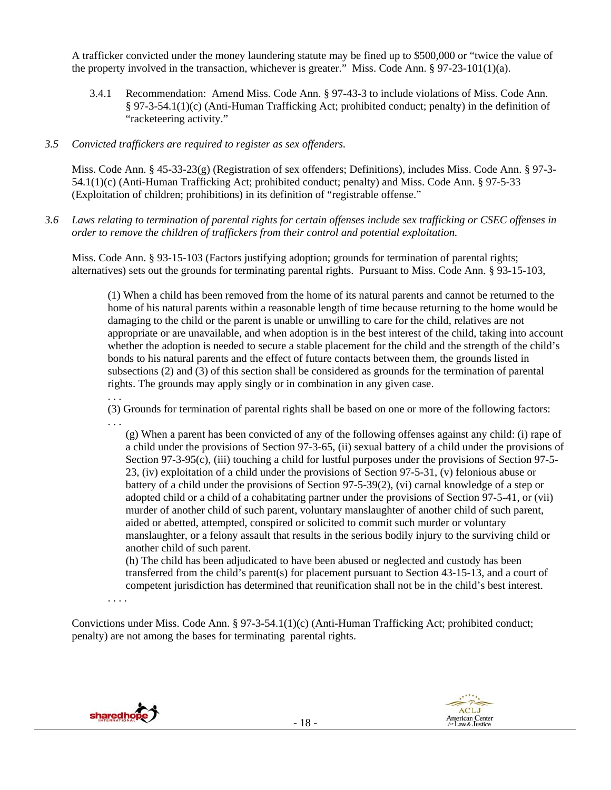A trafficker convicted under the money laundering statute may be fined up to \$500,000 or "twice the value of the property involved in the transaction, whichever is greater." Miss. Code Ann. § 97-23-101(1)(a).

3.4.1 Recommendation: Amend Miss. Code Ann. § 97-43-3 to include violations of Miss. Code Ann. § 97-3-54.1(1)(c) (Anti-Human Trafficking Act; prohibited conduct; penalty) in the definition of "racketeering activity."

# *3.5 Convicted traffickers are required to register as sex offenders.*

Miss. Code Ann. § 45-33-23(g) (Registration of sex offenders; Definitions), includes Miss. Code Ann. § 97-3- 54.1(1)(c) (Anti-Human Trafficking Act; prohibited conduct; penalty) and Miss. Code Ann. § 97-5-33 (Exploitation of children; prohibitions) in its definition of "registrable offense."

*3.6 Laws relating to termination of parental rights for certain offenses include sex trafficking or CSEC offenses in order to remove the children of traffickers from their control and potential exploitation.*

Miss. Code Ann. § 93-15-103 (Factors justifying adoption; grounds for termination of parental rights; alternatives) sets out the grounds for terminating parental rights. Pursuant to Miss. Code Ann. § 93-15-103,

(1) When a child has been removed from the home of its natural parents and cannot be returned to the home of his natural parents within a reasonable length of time because returning to the home would be damaging to the child or the parent is unable or unwilling to care for the child, relatives are not appropriate or are unavailable, and when adoption is in the best interest of the child, taking into account whether the adoption is needed to secure a stable placement for the child and the strength of the child's bonds to his natural parents and the effect of future contacts between them, the grounds listed in subsections (2) and (3) of this section shall be considered as grounds for the termination of parental rights. The grounds may apply singly or in combination in any given case.

(3) Grounds for termination of parental rights shall be based on one or more of the following factors: . . .

(g) When a parent has been convicted of any of the following offenses against any child: (i) rape of a child under the provisions of Section 97-3-65, (ii) sexual battery of a child under the provisions of Section 97-3-95(c), (iii) touching a child for lustful purposes under the provisions of Section 97-5- 23, (iv) exploitation of a child under the provisions of Section 97-5-31, (v) felonious abuse or battery of a child under the provisions of Section 97-5-39(2), (vi) carnal knowledge of a step or adopted child or a child of a cohabitating partner under the provisions of Section 97-5-41, or (vii) murder of another child of such parent, voluntary manslaughter of another child of such parent, aided or abetted, attempted, conspired or solicited to commit such murder or voluntary manslaughter, or a felony assault that results in the serious bodily injury to the surviving child or another child of such parent.

(h) The child has been adjudicated to have been abused or neglected and custody has been transferred from the child's parent(s) for placement pursuant to Section 43-15-13, and a court of competent jurisdiction has determined that reunification shall not be in the child's best interest.

. . . .

. . .

Convictions under Miss. Code Ann. § 97-3-54.1(1)(c) (Anti-Human Trafficking Act; prohibited conduct; penalty) are not among the bases for terminating parental rights.



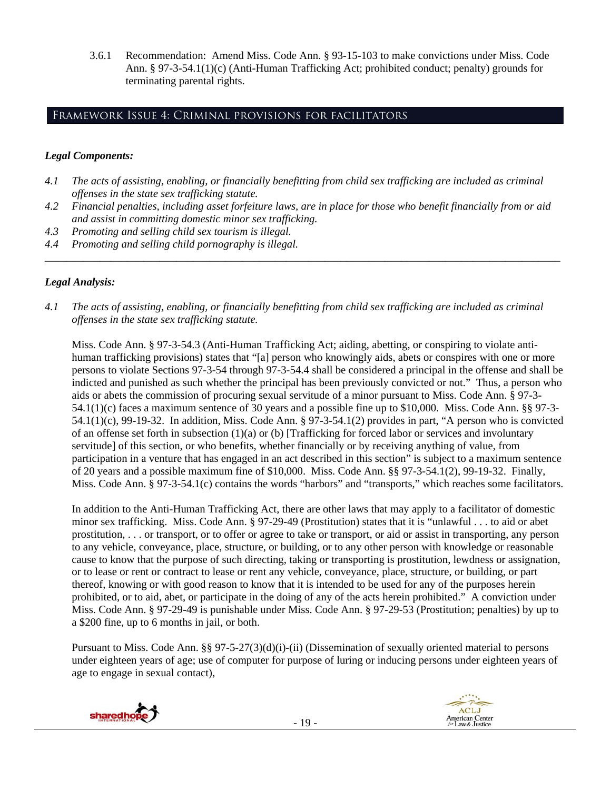3.6.1 Recommendation: Amend Miss. Code Ann. § 93-15-103 to make convictions under Miss. Code Ann. § 97-3-54.1(1)(c) (Anti-Human Trafficking Act; prohibited conduct; penalty) grounds for terminating parental rights.

# Framework Issue 4: Criminal provisions for facilitators

#### *Legal Components:*

- *4.1 The acts of assisting, enabling, or financially benefitting from child sex trafficking are included as criminal offenses in the state sex trafficking statute.*
- *4.2 Financial penalties, including asset forfeiture laws, are in place for those who benefit financially from or aid and assist in committing domestic minor sex trafficking.*

*\_\_\_\_\_\_\_\_\_\_\_\_\_\_\_\_\_\_\_\_\_\_\_\_\_\_\_\_\_\_\_\_\_\_\_\_\_\_\_\_\_\_\_\_\_\_\_\_\_\_\_\_\_\_\_\_\_\_\_\_\_\_\_\_\_\_\_\_\_\_\_\_\_\_\_\_\_\_\_\_\_\_\_\_\_\_\_\_\_\_\_\_\_\_* 

- *4.3 Promoting and selling child sex tourism is illegal.*
- *4.4 Promoting and selling child pornography is illegal.*

#### *Legal Analysis:*

*4.1 The acts of assisting, enabling, or financially benefitting from child sex trafficking are included as criminal offenses in the state sex trafficking statute.*

Miss. Code Ann. § 97-3-54.3 (Anti-Human Trafficking Act; aiding, abetting, or conspiring to violate antihuman trafficking provisions) states that "[a] person who knowingly aids, abets or conspires with one or more persons to violate Sections 97-3-54 through 97-3-54.4 shall be considered a principal in the offense and shall be indicted and punished as such whether the principal has been previously convicted or not." Thus, a person who aids or abets the commission of procuring sexual servitude of a minor pursuant to Miss. Code Ann. § 97-3- 54.1(1)(c) faces a maximum sentence of 30 years and a possible fine up to \$10,000. Miss. Code Ann. §§ 97-3- 54.1(1)(c), 99-19-32. In addition, Miss. Code Ann. § 97-3-54.1(2) provides in part, "A person who is convicted of an offense set forth in subsection (1)(a) or (b) [Trafficking for forced labor or services and involuntary servitude] of this section, or who benefits, whether financially or by receiving anything of value, from participation in a venture that has engaged in an act described in this section" is subject to a maximum sentence of 20 years and a possible maximum fine of \$10,000. Miss. Code Ann. §§ 97-3-54.1(2), 99-19-32. Finally, Miss. Code Ann. § 97-3-54.1(c) contains the words "harbors" and "transports," which reaches some facilitators.

In addition to the Anti-Human Trafficking Act, there are other laws that may apply to a facilitator of domestic minor sex trafficking. Miss. Code Ann. § 97-29-49 (Prostitution) states that it is "unlawful . . . to aid or abet prostitution, . . . or transport, or to offer or agree to take or transport, or aid or assist in transporting, any person to any vehicle, conveyance, place, structure, or building, or to any other person with knowledge or reasonable cause to know that the purpose of such directing, taking or transporting is prostitution, lewdness or assignation, or to lease or rent or contract to lease or rent any vehicle, conveyance, place, structure, or building, or part thereof, knowing or with good reason to know that it is intended to be used for any of the purposes herein prohibited, or to aid, abet, or participate in the doing of any of the acts herein prohibited." A conviction under Miss. Code Ann. § 97-29-49 is punishable under Miss. Code Ann. § 97-29-53 (Prostitution; penalties) by up to a \$200 fine, up to 6 months in jail, or both.

Pursuant to Miss. Code Ann. §§ 97-5-27(3)(d)(i)-(ii) (Dissemination of sexually oriented material to persons under eighteen years of age; use of computer for purpose of luring or inducing persons under eighteen years of age to engage in sexual contact),



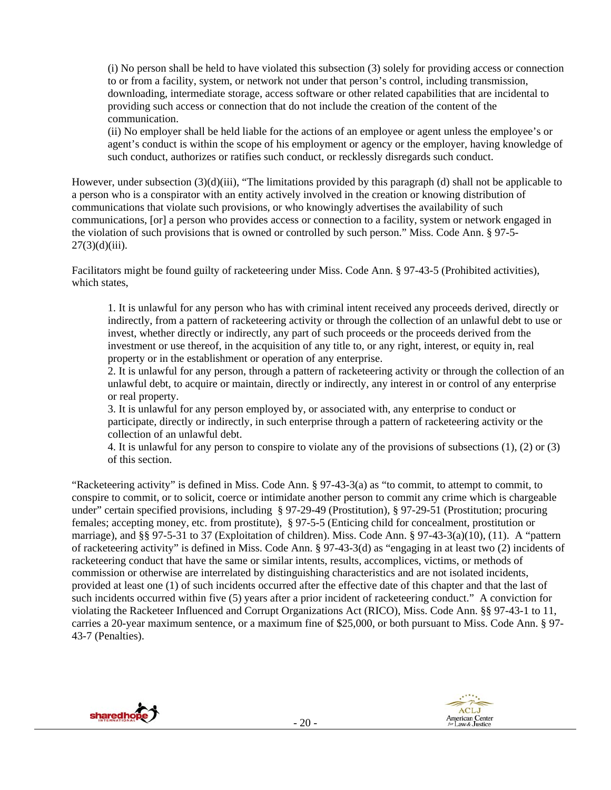(i) No person shall be held to have violated this subsection (3) solely for providing access or connection to or from a facility, system, or network not under that person's control, including transmission, downloading, intermediate storage, access software or other related capabilities that are incidental to providing such access or connection that do not include the creation of the content of the communication.

(ii) No employer shall be held liable for the actions of an employee or agent unless the employee's or agent's conduct is within the scope of his employment or agency or the employer, having knowledge of such conduct, authorizes or ratifies such conduct, or recklessly disregards such conduct.

However, under subsection (3)(d)(iii), "The limitations provided by this paragraph (d) shall not be applicable to a person who is a conspirator with an entity actively involved in the creation or knowing distribution of communications that violate such provisions, or who knowingly advertises the availability of such communications, [or] a person who provides access or connection to a facility, system or network engaged in the violation of such provisions that is owned or controlled by such person." Miss. Code Ann. § 97-5-  $27(3)(d)(iii)$ .

Facilitators might be found guilty of racketeering under Miss. Code Ann. § 97-43-5 (Prohibited activities), which states,

1. It is unlawful for any person who has with criminal intent received any proceeds derived, directly or indirectly, from a pattern of racketeering activity or through the collection of an unlawful debt to use or invest, whether directly or indirectly, any part of such proceeds or the proceeds derived from the investment or use thereof, in the acquisition of any title to, or any right, interest, or equity in, real property or in the establishment or operation of any enterprise.

2. It is unlawful for any person, through a pattern of racketeering activity or through the collection of an unlawful debt, to acquire or maintain, directly or indirectly, any interest in or control of any enterprise or real property.

3. It is unlawful for any person employed by, or associated with, any enterprise to conduct or participate, directly or indirectly, in such enterprise through a pattern of racketeering activity or the collection of an unlawful debt.

4. It is unlawful for any person to conspire to violate any of the provisions of subsections (1), (2) or (3) of this section.

"Racketeering activity" is defined in Miss. Code Ann. § 97-43-3(a) as "to commit, to attempt to commit, to conspire to commit, or to solicit, coerce or intimidate another person to commit any crime which is chargeable under" certain specified provisions, including § 97-29-49 (Prostitution), § 97-29-51 (Prostitution; procuring females; accepting money, etc. from prostitute), § 97-5-5 (Enticing child for concealment, prostitution or marriage), and §§ 97-5-31 to 37 (Exploitation of children). Miss. Code Ann. § 97-43-3(a)(10), (11). A "pattern of racketeering activity" is defined in Miss. Code Ann. § 97-43-3(d) as "engaging in at least two (2) incidents of racketeering conduct that have the same or similar intents, results, accomplices, victims, or methods of commission or otherwise are interrelated by distinguishing characteristics and are not isolated incidents, provided at least one (1) of such incidents occurred after the effective date of this chapter and that the last of such incidents occurred within five (5) years after a prior incident of racketeering conduct." A conviction for violating the Racketeer Influenced and Corrupt Organizations Act (RICO), Miss. Code Ann. §§ 97-43-1 to 11, carries a 20-year maximum sentence, or a maximum fine of \$25,000, or both pursuant to Miss. Code Ann. § 97- 43-7 (Penalties).



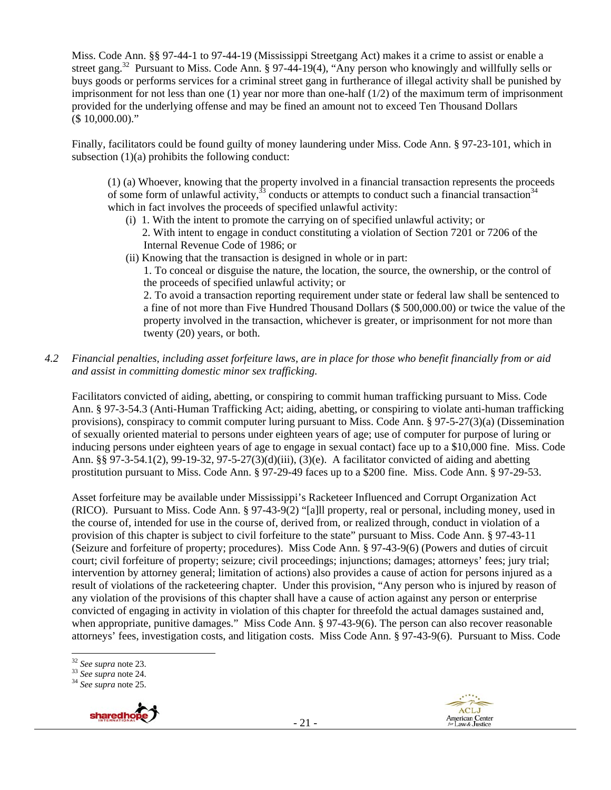Miss. Code Ann. §§ 97-44-1 to 97-44-19 (Mississippi Streetgang Act) makes it a crime to assist or enable a street gang.<sup>32</sup> Pursuant to Miss. Code Ann. § 97-44-19(4), "Any person who knowingly and willfully sells or buys goods or performs services for a criminal street gang in furtherance of illegal activity shall be punished by imprisonment for not less than one (1) year nor more than one-half (1/2) of the maximum term of imprisonment provided for the underlying offense and may be fined an amount not to exceed Ten Thousand Dollars (\$ 10,000.00)."

Finally, facilitators could be found guilty of money laundering under Miss. Code Ann. § 97-23-101, which in subsection (1)(a) prohibits the following conduct:

(1) (a) Whoever, knowing that the property involved in a financial transaction represents the proceeds of some form of unlawful activity,<sup>33</sup> conducts or attempts to conduct such a financial transaction<sup>34</sup> which in fact involves the proceeds of specified unlawful activity:

- (i) 1. With the intent to promote the carrying on of specified unlawful activity; or
	- 2. With intent to engage in conduct constituting a violation of Section 7201 or 7206 of the Internal Revenue Code of 1986; or
- (ii) Knowing that the transaction is designed in whole or in part:

1. To conceal or disguise the nature, the location, the source, the ownership, or the control of the proceeds of specified unlawful activity; or

2. To avoid a transaction reporting requirement under state or federal law shall be sentenced to a fine of not more than Five Hundred Thousand Dollars (\$ 500,000.00) or twice the value of the property involved in the transaction, whichever is greater, or imprisonment for not more than twenty (20) years, or both.

*4.2 Financial penalties, including asset forfeiture laws, are in place for those who benefit financially from or aid and assist in committing domestic minor sex trafficking.* 

Facilitators convicted of aiding, abetting, or conspiring to commit human trafficking pursuant to Miss. Code Ann. § 97-3-54.3 (Anti-Human Trafficking Act; aiding, abetting, or conspiring to violate anti-human trafficking provisions), conspiracy to commit computer luring pursuant to Miss. Code Ann. § 97-5-27(3)(a) (Dissemination of sexually oriented material to persons under eighteen years of age; use of computer for purpose of luring or inducing persons under eighteen years of age to engage in sexual contact) face up to a \$10,000 fine. Miss. Code Ann. §§ 97-3-54.1(2), 99-19-32, 97-5-27(3)(d)(iii), (3)(e). A facilitator convicted of aiding and abetting prostitution pursuant to Miss. Code Ann. § 97-29-49 faces up to a \$200 fine. Miss. Code Ann. § 97-29-53.

Asset forfeiture may be available under Mississippi's Racketeer Influenced and Corrupt Organization Act (RICO). Pursuant to Miss. Code Ann. § 97-43-9(2) "[a]ll property, real or personal, including money, used in the course of, intended for use in the course of, derived from, or realized through, conduct in violation of a provision of this chapter is subject to civil forfeiture to the state" pursuant to Miss. Code Ann. § 97-43-11 (Seizure and forfeiture of property; procedures). Miss Code Ann. § 97-43-9(6) (Powers and duties of circuit court; civil forfeiture of property; seizure; civil proceedings; injunctions; damages; attorneys' fees; jury trial; intervention by attorney general; limitation of actions) also provides a cause of action for persons injured as a result of violations of the racketeering chapter. Under this provision, "Any person who is injured by reason of any violation of the provisions of this chapter shall have a cause of action against any person or enterprise convicted of engaging in activity in violation of this chapter for threefold the actual damages sustained and, when appropriate, punitive damages." Miss Code Ann. § 97-43-9(6). The person can also recover reasonable attorneys' fees, investigation costs, and litigation costs. Miss Code Ann. § 97-43-9(6). Pursuant to Miss. Code

<sup>32</sup> *See supra* note 23. 33 *See supra* note 24. 34 *See supra* note 25.





 $32$  See supra note 23.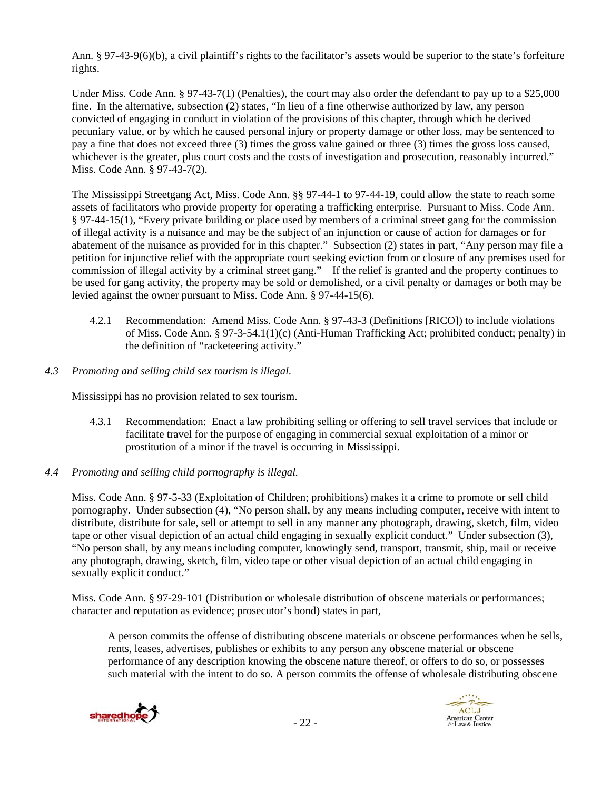Ann. § 97-43-9(6)(b), a civil plaintiff's rights to the facilitator's assets would be superior to the state's forfeiture rights.

Under Miss. Code Ann. § 97-43-7(1) (Penalties), the court may also order the defendant to pay up to a \$25,000 fine. In the alternative, subsection (2) states, "In lieu of a fine otherwise authorized by law, any person convicted of engaging in conduct in violation of the provisions of this chapter, through which he derived pecuniary value, or by which he caused personal injury or property damage or other loss, may be sentenced to pay a fine that does not exceed three (3) times the gross value gained or three (3) times the gross loss caused, whichever is the greater, plus court costs and the costs of investigation and prosecution, reasonably incurred." Miss. Code Ann. § 97-43-7(2).

The Mississippi Streetgang Act, Miss. Code Ann. §§ 97-44-1 to 97-44-19, could allow the state to reach some assets of facilitators who provide property for operating a trafficking enterprise. Pursuant to Miss. Code Ann. § 97-44-15(1), "Every private building or place used by members of a criminal street gang for the commission of illegal activity is a nuisance and may be the subject of an injunction or cause of action for damages or for abatement of the nuisance as provided for in this chapter." Subsection (2) states in part, "Any person may file a petition for injunctive relief with the appropriate court seeking eviction from or closure of any premises used for commission of illegal activity by a criminal street gang." If the relief is granted and the property continues to be used for gang activity, the property may be sold or demolished, or a civil penalty or damages or both may be levied against the owner pursuant to Miss. Code Ann. § 97-44-15(6).

- 4.2.1 Recommendation: Amend Miss. Code Ann. § 97-43-3 (Definitions [RICO]) to include violations of Miss. Code Ann. § 97-3-54.1(1)(c) (Anti-Human Trafficking Act; prohibited conduct; penalty) in the definition of "racketeering activity."
- *4.3 Promoting and selling child sex tourism is illegal*.

Mississippi has no provision related to sex tourism.

- 4.3.1 Recommendation: Enact a law prohibiting selling or offering to sell travel services that include or facilitate travel for the purpose of engaging in commercial sexual exploitation of a minor or prostitution of a minor if the travel is occurring in Mississippi.
- *4.4 Promoting and selling child pornography is illegal.*

Miss. Code Ann. § 97-5-33 (Exploitation of Children; prohibitions) makes it a crime to promote or sell child pornography. Under subsection (4), "No person shall, by any means including computer, receive with intent to distribute, distribute for sale, sell or attempt to sell in any manner any photograph, drawing, sketch, film, video tape or other visual depiction of an actual child engaging in sexually explicit conduct." Under subsection (3), "No person shall, by any means including computer, knowingly send, transport, transmit, ship, mail or receive any photograph, drawing, sketch, film, video tape or other visual depiction of an actual child engaging in sexually explicit conduct."

Miss. Code Ann. § 97-29-101 (Distribution or wholesale distribution of obscene materials or performances; character and reputation as evidence; prosecutor's bond) states in part,

A person commits the offense of distributing obscene materials or obscene performances when he sells, rents, leases, advertises, publishes or exhibits to any person any obscene material or obscene performance of any description knowing the obscene nature thereof, or offers to do so, or possesses such material with the intent to do so. A person commits the offense of wholesale distributing obscene



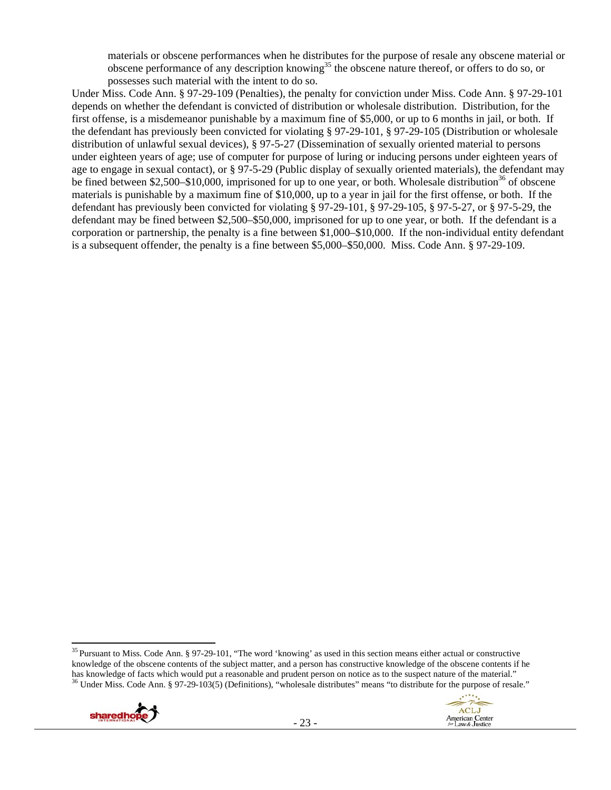materials or obscene performances when he distributes for the purpose of resale any obscene material or obscene performance of any description knowing<sup>35</sup> the obscene nature thereof, or offers to do so, or possesses such material with the intent to do so.

Under Miss. Code Ann. § 97-29-109 (Penalties), the penalty for conviction under Miss. Code Ann. § 97-29-101 depends on whether the defendant is convicted of distribution or wholesale distribution. Distribution, for the first offense, is a misdemeanor punishable by a maximum fine of \$5,000, or up to 6 months in jail, or both. If the defendant has previously been convicted for violating § 97-29-101, § 97-29-105 (Distribution or wholesale distribution of unlawful sexual devices), § 97-5-27 (Dissemination of sexually oriented material to persons under eighteen years of age; use of computer for purpose of luring or inducing persons under eighteen years of age to engage in sexual contact), or § 97-5-29 (Public display of sexually oriented materials), the defendant may be fined between \$2,500–\$10,000, imprisoned for up to one year, or both. Wholesale distribution<sup>36</sup> of obscene materials is punishable by a maximum fine of \$10,000, up to a year in jail for the first offense, or both. If the defendant has previously been convicted for violating § 97-29-101, § 97-29-105, § 97-5-27, or § 97-5-29, the defendant may be fined between \$2,500–\$50,000, imprisoned for up to one year, or both. If the defendant is a corporation or partnership, the penalty is a fine between \$1,000–\$10,000. If the non-individual entity defendant is a subsequent offender, the penalty is a fine between \$5,000–\$50,000. Miss. Code Ann. § 97-29-109.

 <sup>35</sup> Pursuant to Miss. Code Ann. § 97-29-101, "The word 'knowing' as used in this section means either actual or constructive knowledge of the obscene contents of the subject matter, and a person has constructive knowledge of the obscene contents if he has knowledge of facts which would put a reasonable and prudent person on notice as to the susp <sup>36</sup> Under Miss. Code Ann. § 97-29-103(5) (Definitions), "wholesale distributes" means "to distribute for the purpose of resale."



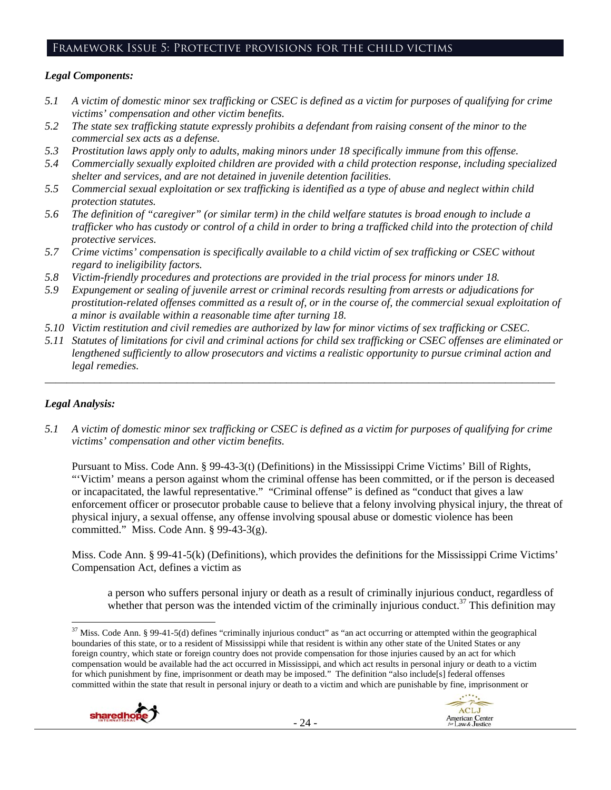# Framework Issue 5: Protective provisions for the child victims

#### *Legal Components:*

- *5.1 A victim of domestic minor sex trafficking or CSEC is defined as a victim for purposes of qualifying for crime victims' compensation and other victim benefits.*
- *5.2 The state sex trafficking statute expressly prohibits a defendant from raising consent of the minor to the commercial sex acts as a defense.*
- *5.3 Prostitution laws apply only to adults, making minors under 18 specifically immune from this offense.*
- *5.4 Commercially sexually exploited children are provided with a child protection response, including specialized shelter and services, and are not detained in juvenile detention facilities.*
- *5.5 Commercial sexual exploitation or sex trafficking is identified as a type of abuse and neglect within child protection statutes.*
- *5.6 The definition of "caregiver" (or similar term) in the child welfare statutes is broad enough to include a trafficker who has custody or control of a child in order to bring a trafficked child into the protection of child protective services.*
- *5.7 Crime victims' compensation is specifically available to a child victim of sex trafficking or CSEC without regard to ineligibility factors.*
- *5.8 Victim-friendly procedures and protections are provided in the trial process for minors under 18.*
- *5.9 Expungement or sealing of juvenile arrest or criminal records resulting from arrests or adjudications for prostitution-related offenses committed as a result of, or in the course of, the commercial sexual exploitation of a minor is available within a reasonable time after turning 18.*
- *5.10 Victim restitution and civil remedies are authorized by law for minor victims of sex trafficking or CSEC.*
- *5.11 Statutes of limitations for civil and criminal actions for child sex trafficking or CSEC offenses are eliminated or lengthened sufficiently to allow prosecutors and victims a realistic opportunity to pursue criminal action and legal remedies.*

*\_\_\_\_\_\_\_\_\_\_\_\_\_\_\_\_\_\_\_\_\_\_\_\_\_\_\_\_\_\_\_\_\_\_\_\_\_\_\_\_\_\_\_\_\_\_\_\_\_\_\_\_\_\_\_\_\_\_\_\_\_\_\_\_\_\_\_\_\_\_\_\_\_\_\_\_\_\_\_\_\_\_\_\_\_\_\_\_\_\_\_\_\_* 

# *Legal Analysis:*

*5.1 A victim of domestic minor sex trafficking or CSEC is defined as a victim for purposes of qualifying for crime victims' compensation and other victim benefits.* 

Pursuant to Miss. Code Ann. § 99-43-3(t) (Definitions) in the Mississippi Crime Victims' Bill of Rights, "'Victim' means a person against whom the criminal offense has been committed, or if the person is deceased or incapacitated, the lawful representative." "Criminal offense" is defined as "conduct that gives a law enforcement officer or prosecutor probable cause to believe that a felony involving physical injury, the threat of physical injury, a sexual offense, any offense involving spousal abuse or domestic violence has been committed." Miss. Code Ann.  $\S$  99-43-3(g).

Miss. Code Ann. § 99-41-5(k) (Definitions), which provides the definitions for the Mississippi Crime Victims' Compensation Act, defines a victim as

a person who suffers personal injury or death as a result of criminally injurious conduct, regardless of whether that person was the intended victim of the criminally injurious conduct.<sup>37</sup> This definition may

 $37$  Miss. Code Ann. § 99-41-5(d) defines "criminally injurious conduct" as "an act occurring or attempted within the geographical boundaries of this state, or to a resident of Mississippi while that resident is within any other state of the United States or any foreign country, which state or foreign country does not provide compensation for those injuries caused by an act for which compensation would be available had the act occurred in Mississippi, and which act results in personal injury or death to a victim for which punishment by fine, imprisonment or death may be imposed." The definition "also include[s] federal offenses committed within the state that result in personal injury or death to a victim and which are punishable by fine, imprisonment or



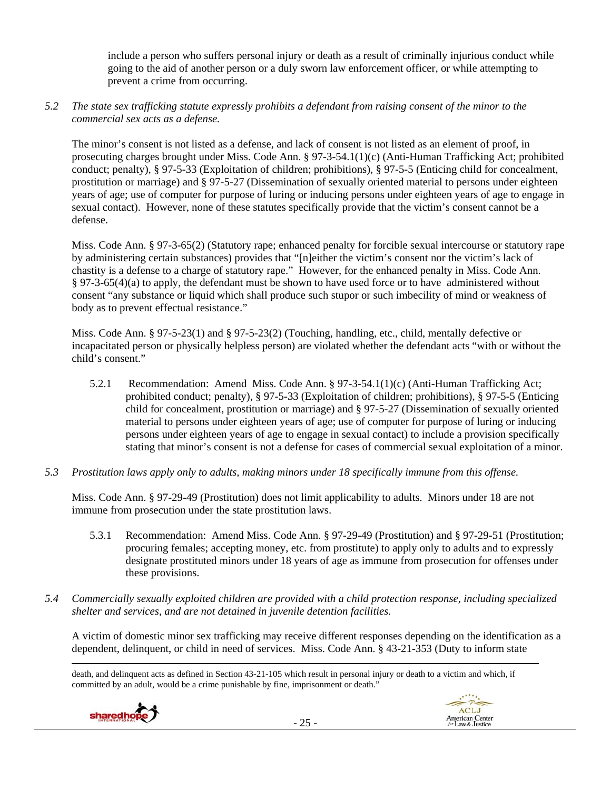include a person who suffers personal injury or death as a result of criminally injurious conduct while going to the aid of another person or a duly sworn law enforcement officer, or while attempting to prevent a crime from occurring.

# *5.2 The state sex trafficking statute expressly prohibits a defendant from raising consent of the minor to the commercial sex acts as a defense.*

The minor's consent is not listed as a defense, and lack of consent is not listed as an element of proof, in prosecuting charges brought under Miss. Code Ann. § 97-3-54.1(1)(c) (Anti-Human Trafficking Act; prohibited conduct; penalty), § 97-5-33 (Exploitation of children; prohibitions), § 97-5-5 (Enticing child for concealment, prostitution or marriage) and § 97-5-27 (Dissemination of sexually oriented material to persons under eighteen years of age; use of computer for purpose of luring or inducing persons under eighteen years of age to engage in sexual contact). However, none of these statutes specifically provide that the victim's consent cannot be a defense.

Miss. Code Ann. § 97-3-65(2) (Statutory rape; enhanced penalty for forcible sexual intercourse or statutory rape by administering certain substances) provides that "[n]either the victim's consent nor the victim's lack of chastity is a defense to a charge of statutory rape." However, for the enhanced penalty in Miss. Code Ann. § 97-3-65(4)(a) to apply, the defendant must be shown to have used force or to have administered without consent "any substance or liquid which shall produce such stupor or such imbecility of mind or weakness of body as to prevent effectual resistance."

Miss. Code Ann. § 97-5-23(1) and § 97-5-23(2) (Touching, handling, etc., child, mentally defective or incapacitated person or physically helpless person) are violated whether the defendant acts "with or without the child's consent."

- 5.2.1 Recommendation: Amend Miss. Code Ann. § 97-3-54.1(1)(c) (Anti-Human Trafficking Act; prohibited conduct; penalty), § 97-5-33 (Exploitation of children; prohibitions), § 97-5-5 (Enticing child for concealment, prostitution or marriage) and § 97-5-27 (Dissemination of sexually oriented material to persons under eighteen years of age; use of computer for purpose of luring or inducing persons under eighteen years of age to engage in sexual contact) to include a provision specifically stating that minor's consent is not a defense for cases of commercial sexual exploitation of a minor.
- *5.3 Prostitution laws apply only to adults, making minors under 18 specifically immune from this offense.*

Miss. Code Ann. § 97-29-49 (Prostitution) does not limit applicability to adults. Minors under 18 are not immune from prosecution under the state prostitution laws.

- 5.3.1 Recommendation: Amend Miss. Code Ann. § 97-29-49 (Prostitution) and § 97-29-51 (Prostitution; procuring females; accepting money, etc. from prostitute) to apply only to adults and to expressly designate prostituted minors under 18 years of age as immune from prosecution for offenses under these provisions.
- *5.4 Commercially sexually exploited children are provided with a child protection response, including specialized shelter and services, and are not detained in juvenile detention facilities.*

A victim of domestic minor sex trafficking may receive different responses depending on the identification as a dependent, delinquent, or child in need of services. Miss. Code Ann. § 43-21-353 (Duty to inform state

<u> Andrewski politika (za obrazu pod predsjednika u predsjednika u predsjednika u predsjednika (za obrazu pod p</u> death, and delinquent acts as defined in Section 43-21-105 which result in personal injury or death to a victim and which, if committed by an adult, would be a crime punishable by fine, imprisonment or death."



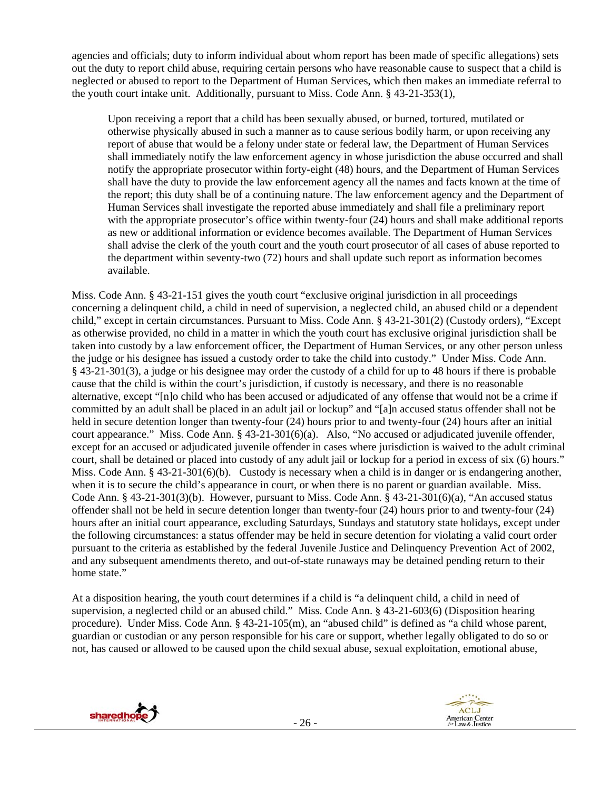agencies and officials; duty to inform individual about whom report has been made of specific allegations) sets out the duty to report child abuse, requiring certain persons who have reasonable cause to suspect that a child is neglected or abused to report to the Department of Human Services, which then makes an immediate referral to the youth court intake unit. Additionally, pursuant to Miss. Code Ann. § 43-21-353(1),

Upon receiving a report that a child has been sexually abused, or burned, tortured, mutilated or otherwise physically abused in such a manner as to cause serious bodily harm, or upon receiving any report of abuse that would be a felony under state or federal law, the Department of Human Services shall immediately notify the law enforcement agency in whose jurisdiction the abuse occurred and shall notify the appropriate prosecutor within forty-eight (48) hours, and the Department of Human Services shall have the duty to provide the law enforcement agency all the names and facts known at the time of the report; this duty shall be of a continuing nature. The law enforcement agency and the Department of Human Services shall investigate the reported abuse immediately and shall file a preliminary report with the appropriate prosecutor's office within twenty-four (24) hours and shall make additional reports as new or additional information or evidence becomes available. The Department of Human Services shall advise the clerk of the youth court and the youth court prosecutor of all cases of abuse reported to the department within seventy-two (72) hours and shall update such report as information becomes available.

Miss. Code Ann. § 43-21-151 gives the youth court "exclusive original jurisdiction in all proceedings concerning a delinquent child, a child in need of supervision, a neglected child, an abused child or a dependent child," except in certain circumstances. Pursuant to Miss. Code Ann. § 43-21-301(2) (Custody orders), "Except as otherwise provided, no child in a matter in which the youth court has exclusive original jurisdiction shall be taken into custody by a law enforcement officer, the Department of Human Services, or any other person unless the judge or his designee has issued a custody order to take the child into custody." Under Miss. Code Ann. § 43-21-301(3), a judge or his designee may order the custody of a child for up to 48 hours if there is probable cause that the child is within the court's jurisdiction, if custody is necessary, and there is no reasonable alternative, except "[n]o child who has been accused or adjudicated of any offense that would not be a crime if committed by an adult shall be placed in an adult jail or lockup" and "[a]n accused status offender shall not be held in secure detention longer than twenty-four (24) hours prior to and twenty-four (24) hours after an initial court appearance." Miss. Code Ann. § 43-21-301(6)(a). Also, "No accused or adjudicated juvenile offender, except for an accused or adjudicated juvenile offender in cases where jurisdiction is waived to the adult criminal court, shall be detained or placed into custody of any adult jail or lockup for a period in excess of six (6) hours." Miss. Code Ann. § 43-21-301(6)(b). Custody is necessary when a child is in danger or is endangering another, when it is to secure the child's appearance in court, or when there is no parent or guardian available. Miss. Code Ann. § 43-21-301(3)(b). However, pursuant to Miss. Code Ann. § 43-21-301(6)(a), "An accused status offender shall not be held in secure detention longer than twenty-four (24) hours prior to and twenty-four (24) hours after an initial court appearance, excluding Saturdays, Sundays and statutory state holidays, except under the following circumstances: a status offender may be held in secure detention for violating a valid court order pursuant to the criteria as established by the federal Juvenile Justice and Delinquency Prevention Act of 2002, and any subsequent amendments thereto, and out-of-state runaways may be detained pending return to their home state."

At a disposition hearing, the youth court determines if a child is "a delinquent child, a child in need of supervision, a neglected child or an abused child." Miss. Code Ann. § 43-21-603(6) (Disposition hearing procedure). Under Miss. Code Ann. § 43-21-105(m), an "abused child" is defined as "a child whose parent, guardian or custodian or any person responsible for his care or support, whether legally obligated to do so or not, has caused or allowed to be caused upon the child sexual abuse, sexual exploitation, emotional abuse,



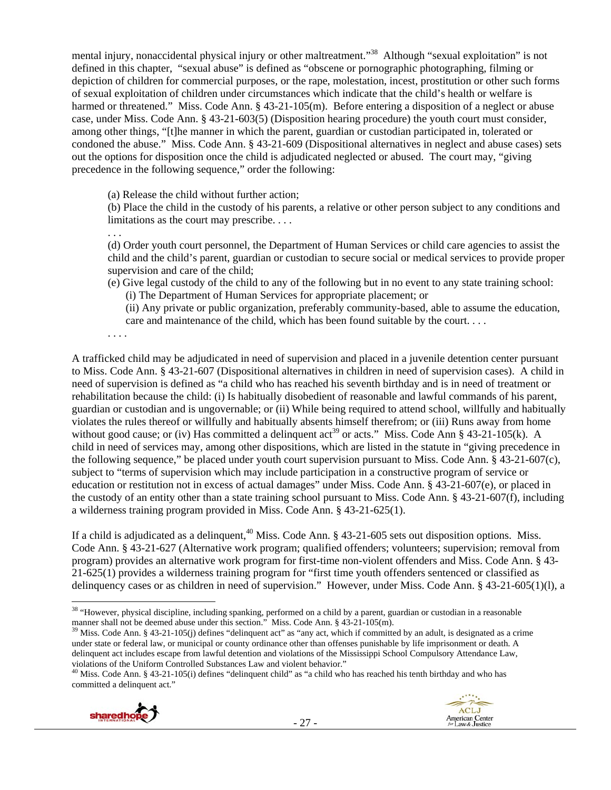mental injury, nonaccidental physical injury or other maltreatment."38 Although "sexual exploitation" is not defined in this chapter, "sexual abuse" is defined as "obscene or pornographic photographing, filming or depiction of children for commercial purposes, or the rape, molestation, incest, prostitution or other such forms of sexual exploitation of children under circumstances which indicate that the child's health or welfare is harmed or threatened." Miss. Code Ann. § 43-21-105(m). Before entering a disposition of a neglect or abuse case, under Miss. Code Ann. § 43-21-603(5) (Disposition hearing procedure) the youth court must consider, among other things, "[t]he manner in which the parent, guardian or custodian participated in, tolerated or condoned the abuse." Miss. Code Ann. § 43-21-609 (Dispositional alternatives in neglect and abuse cases) sets out the options for disposition once the child is adjudicated neglected or abused. The court may, "giving precedence in the following sequence," order the following:

(a) Release the child without further action;

(b) Place the child in the custody of his parents, a relative or other person subject to any conditions and limitations as the court may prescribe. . . .

. . .

(d) Order youth court personnel, the Department of Human Services or child care agencies to assist the child and the child's parent, guardian or custodian to secure social or medical services to provide proper supervision and care of the child;

(e) Give legal custody of the child to any of the following but in no event to any state training school: (i) The Department of Human Services for appropriate placement; or

(ii) Any private or public organization, preferably community-based, able to assume the education, care and maintenance of the child, which has been found suitable by the court. . . .

. . . .

A trafficked child may be adjudicated in need of supervision and placed in a juvenile detention center pursuant to Miss. Code Ann. § 43-21-607 (Dispositional alternatives in children in need of supervision cases). A child in need of supervision is defined as "a child who has reached his seventh birthday and is in need of treatment or rehabilitation because the child: (i) Is habitually disobedient of reasonable and lawful commands of his parent, guardian or custodian and is ungovernable; or (ii) While being required to attend school, willfully and habitually violates the rules thereof or willfully and habitually absents himself therefrom; or (iii) Runs away from home without good cause; or (iv) Has committed a delinquent act<sup>39</sup> or acts." Miss. Code Ann § 43-21-105(k). A child in need of services may, among other dispositions, which are listed in the statute in "giving precedence in the following sequence," be placed under youth court supervision pursuant to Miss. Code Ann. § 43-21-607(c), subject to "terms of supervision which may include participation in a constructive program of service or education or restitution not in excess of actual damages" under Miss. Code Ann. § 43-21-607(e), or placed in the custody of an entity other than a state training school pursuant to Miss. Code Ann. § 43-21-607(f), including a wilderness training program provided in Miss. Code Ann. § 43-21-625(1).

If a child is adjudicated as a delinquent,  $40$  Miss. Code Ann. § 43-21-605 sets out disposition options. Miss. Code Ann. § 43-21-627 (Alternative work program; qualified offenders; volunteers; supervision; removal from program) provides an alternative work program for first-time non-violent offenders and Miss. Code Ann. § 43- 21-625(1) provides a wilderness training program for "first time youth offenders sentenced or classified as delinquency cases or as children in need of supervision." However, under Miss. Code Ann. § 43-21-605(1)(l), a

violations of the Uniform Controlled Substances Law and violent behavior." 40 Miss. Code Ann. § 43-21-105(i) defines "delinquent child" as "a child who has reached his tenth birthday and who has committed a delinquent act."



 <sup>38</sup> "However, physical discipline, including spanking, performed on a child by a parent, guardian or custodian in a reasonable

manner shall not be deemed abuse under this section." Miss. Code Ann. § 43-21-105(m).<br><sup>39</sup> Miss. Code Ann. § 43-21-105(j) defines "delinquent act" as "any act, which if committed by an adult, is designated as a crime under state or federal law, or municipal or county ordinance other than offenses punishable by life imprisonment or death. A delinquent act includes escape from lawful detention and violations of the Mississippi School Compulsory Attendance Law,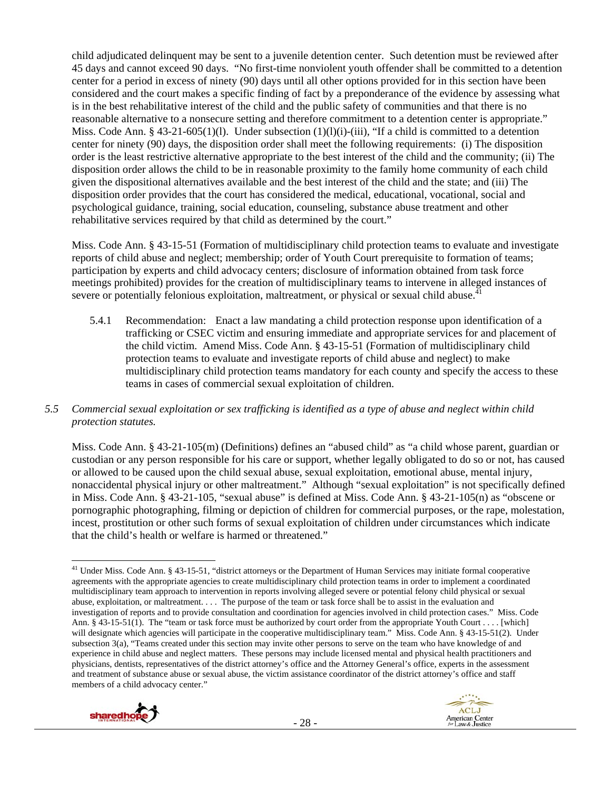child adjudicated delinquent may be sent to a juvenile detention center. Such detention must be reviewed after 45 days and cannot exceed 90 days. "No first-time nonviolent youth offender shall be committed to a detention center for a period in excess of ninety (90) days until all other options provided for in this section have been considered and the court makes a specific finding of fact by a preponderance of the evidence by assessing what is in the best rehabilitative interest of the child and the public safety of communities and that there is no reasonable alternative to a nonsecure setting and therefore commitment to a detention center is appropriate." Miss. Code Ann. § 43-21-605(1)(l). Under subsection (1)(l)(i)-(iii), "If a child is committed to a detention center for ninety (90) days, the disposition order shall meet the following requirements: (i) The disposition order is the least restrictive alternative appropriate to the best interest of the child and the community; (ii) The disposition order allows the child to be in reasonable proximity to the family home community of each child given the dispositional alternatives available and the best interest of the child and the state; and (iii) The disposition order provides that the court has considered the medical, educational, vocational, social and psychological guidance, training, social education, counseling, substance abuse treatment and other rehabilitative services required by that child as determined by the court."

Miss. Code Ann. § 43-15-51 (Formation of multidisciplinary child protection teams to evaluate and investigate reports of child abuse and neglect; membership; order of Youth Court prerequisite to formation of teams; participation by experts and child advocacy centers; disclosure of information obtained from task force meetings prohibited) provides for the creation of multidisciplinary teams to intervene in alleged instances of severe or potentially felonious exploitation, maltreatment, or physical or sexual child abuse.<sup>4</sup>

- 5.4.1 Recommendation: Enact a law mandating a child protection response upon identification of a trafficking or CSEC victim and ensuring immediate and appropriate services for and placement of the child victim. Amend Miss. Code Ann. § 43-15-51 (Formation of multidisciplinary child protection teams to evaluate and investigate reports of child abuse and neglect) to make multidisciplinary child protection teams mandatory for each county and specify the access to these teams in cases of commercial sexual exploitation of children.
- *5.5 Commercial sexual exploitation or sex trafficking is identified as a type of abuse and neglect within child protection statutes.*

Miss. Code Ann. § 43-21-105(m) (Definitions) defines an "abused child" as "a child whose parent, guardian or custodian or any person responsible for his care or support, whether legally obligated to do so or not, has caused or allowed to be caused upon the child sexual abuse, sexual exploitation, emotional abuse, mental injury, nonaccidental physical injury or other maltreatment." Although "sexual exploitation" is not specifically defined in Miss. Code Ann. § 43-21-105, "sexual abuse" is defined at Miss. Code Ann. § 43-21-105(n) as "obscene or pornographic photographing, filming or depiction of children for commercial purposes, or the rape, molestation, incest, prostitution or other such forms of sexual exploitation of children under circumstances which indicate that the child's health or welfare is harmed or threatened."

 <sup>41</sup> Under Miss. Code Ann. § 43-15-51, "district attorneys or the Department of Human Services may initiate formal cooperative agreements with the appropriate agencies to create multidisciplinary child protection teams in order to implement a coordinated multidisciplinary team approach to intervention in reports involving alleged severe or potential felony child physical or sexual abuse, exploitation, or maltreatment. . . . The purpose of the team or task force shall be to assist in the evaluation and investigation of reports and to provide consultation and coordination for agencies involved in child protection cases." Miss. Code Ann. § 43-15-51(1). The "team or task force must be authorized by court order from the appropriate Youth Court . . . . [which] will designate which agencies will participate in the cooperative multidisciplinary team." Miss. Code Ann. § 43-15-51(2). Under subsection 3(a), "Teams created under this section may invite other persons to serve on the team who have knowledge of and experience in child abuse and neglect matters. These persons may include licensed mental and physical health practitioners and physicians, dentists, representatives of the district attorney's office and the Attorney General's office, experts in the assessment and treatment of substance abuse or sexual abuse, the victim assistance coordinator of the district attorney's office and staff members of a child advocacy center."

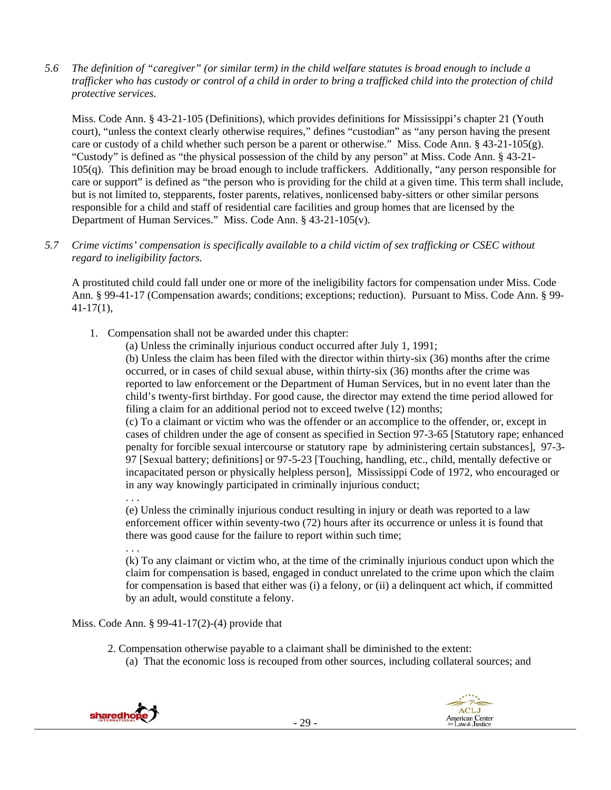*5.6 The definition of "caregiver" (or similar term) in the child welfare statutes is broad enough to include a trafficker who has custody or control of a child in order to bring a trafficked child into the protection of child protective services.* 

Miss. Code Ann. § 43-21-105 (Definitions), which provides definitions for Mississippi's chapter 21 (Youth court), "unless the context clearly otherwise requires," defines "custodian" as "any person having the present care or custody of a child whether such person be a parent or otherwise." Miss. Code Ann. § 43-21-105(g). "Custody" is defined as "the physical possession of the child by any person" at Miss. Code Ann. § 43-21- 105(q). This definition may be broad enough to include traffickers. Additionally, "any person responsible for care or support" is defined as "the person who is providing for the child at a given time. This term shall include, but is not limited to, stepparents, foster parents, relatives, nonlicensed baby-sitters or other similar persons responsible for a child and staff of residential care facilities and group homes that are licensed by the Department of Human Services." Miss. Code Ann. § 43-21-105(v).

*5.7 Crime victims' compensation is specifically available to a child victim of sex trafficking or CSEC without regard to ineligibility factors.* 

A prostituted child could fall under one or more of the ineligibility factors for compensation under Miss. Code Ann. § 99-41-17 (Compensation awards; conditions; exceptions; reduction). Pursuant to Miss. Code Ann. § 99-  $41-17(1)$ ,

- 1. Compensation shall not be awarded under this chapter:
	- (a) Unless the criminally injurious conduct occurred after July 1, 1991;

(b) Unless the claim has been filed with the director within thirty-six (36) months after the crime occurred, or in cases of child sexual abuse, within thirty-six (36) months after the crime was reported to law enforcement or the Department of Human Services, but in no event later than the child's twenty-first birthday. For good cause, the director may extend the time period allowed for filing a claim for an additional period not to exceed twelve (12) months;

(c) To a claimant or victim who was the offender or an accomplice to the offender, or, except in cases of children under the age of consent as specified in Section 97-3-65 [Statutory rape; enhanced penalty for forcible sexual intercourse or statutory rape by administering certain substances], 97-3- 97 [Sexual battery; definitions] or 97-5-23 [Touching, handling, etc., child, mentally defective or incapacitated person or physically helpless person], Mississippi Code of 1972, who encouraged or in any way knowingly participated in criminally injurious conduct;

. . .

(e) Unless the criminally injurious conduct resulting in injury or death was reported to a law enforcement officer within seventy-two (72) hours after its occurrence or unless it is found that there was good cause for the failure to report within such time;

. . .

(k) To any claimant or victim who, at the time of the criminally injurious conduct upon which the claim for compensation is based, engaged in conduct unrelated to the crime upon which the claim for compensation is based that either was (i) a felony, or (ii) a delinquent act which, if committed by an adult, would constitute a felony.

Miss. Code Ann. § 99-41-17(2)-(4) provide that

- 2. Compensation otherwise payable to a claimant shall be diminished to the extent:
	- (a) That the economic loss is recouped from other sources, including collateral sources; and



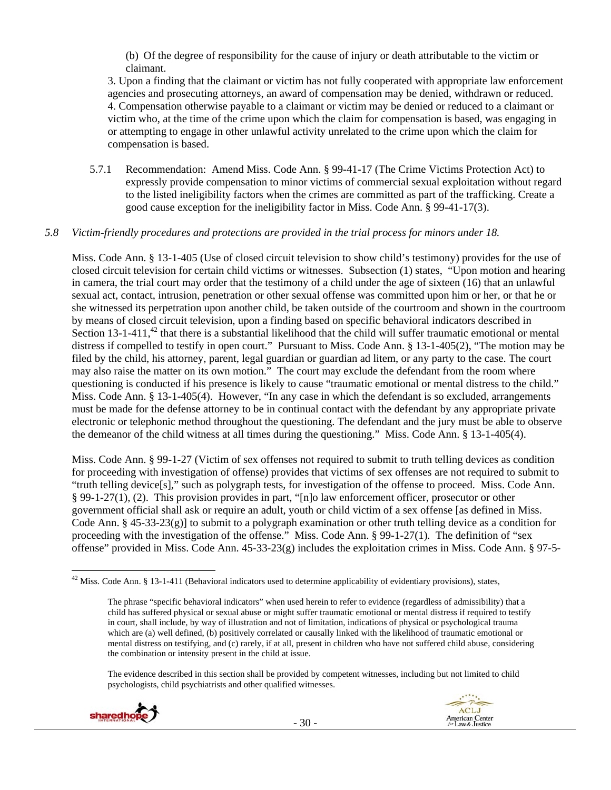(b) Of the degree of responsibility for the cause of injury or death attributable to the victim or claimant.

3. Upon a finding that the claimant or victim has not fully cooperated with appropriate law enforcement agencies and prosecuting attorneys, an award of compensation may be denied, withdrawn or reduced. 4. Compensation otherwise payable to a claimant or victim may be denied or reduced to a claimant or victim who, at the time of the crime upon which the claim for compensation is based, was engaging in or attempting to engage in other unlawful activity unrelated to the crime upon which the claim for compensation is based.

5.7.1 Recommendation: Amend Miss. Code Ann. § 99-41-17 (The Crime Victims Protection Act) to expressly provide compensation to minor victims of commercial sexual exploitation without regard to the listed ineligibility factors when the crimes are committed as part of the trafficking. Create a good cause exception for the ineligibility factor in Miss. Code Ann. § 99-41-17(3).

## *5.8 Victim-friendly procedures and protections are provided in the trial process for minors under 18.*

Miss. Code Ann. § 13-1-405 (Use of closed circuit television to show child's testimony) provides for the use of closed circuit television for certain child victims or witnesses. Subsection (1) states, "Upon motion and hearing in camera, the trial court may order that the testimony of a child under the age of sixteen (16) that an unlawful sexual act, contact, intrusion, penetration or other sexual offense was committed upon him or her, or that he or she witnessed its perpetration upon another child, be taken outside of the courtroom and shown in the courtroom by means of closed circuit television, upon a finding based on specific behavioral indicators described in Section 13-1-411, $^{42}$  that there is a substantial likelihood that the child will suffer traumatic emotional or mental distress if compelled to testify in open court." Pursuant to Miss. Code Ann. § 13-1-405(2), "The motion may be filed by the child, his attorney, parent, legal guardian or guardian ad litem, or any party to the case. The court may also raise the matter on its own motion." The court may exclude the defendant from the room where questioning is conducted if his presence is likely to cause "traumatic emotional or mental distress to the child." Miss. Code Ann. § 13-1-405(4). However, "In any case in which the defendant is so excluded, arrangements must be made for the defense attorney to be in continual contact with the defendant by any appropriate private electronic or telephonic method throughout the questioning. The defendant and the jury must be able to observe the demeanor of the child witness at all times during the questioning." Miss. Code Ann. § 13-1-405(4).

Miss. Code Ann. § 99-1-27 (Victim of sex offenses not required to submit to truth telling devices as condition for proceeding with investigation of offense) provides that victims of sex offenses are not required to submit to "truth telling device[s]," such as polygraph tests, for investigation of the offense to proceed. Miss. Code Ann. § 99-1-27(1), (2). This provision provides in part, "[n]o law enforcement officer, prosecutor or other government official shall ask or require an adult, youth or child victim of a sex offense [as defined in Miss. Code Ann. § 45-33-23(g)] to submit to a polygraph examination or other truth telling device as a condition for proceeding with the investigation of the offense." Miss. Code Ann. § 99-1-27(1). The definition of "sex offense" provided in Miss. Code Ann. 45-33-23(g) includes the exploitation crimes in Miss. Code Ann. § 97-5-

The evidence described in this section shall be provided by competent witnesses, including but not limited to child psychologists, child psychiatrists and other qualified witnesses.





  $^{42}$  Miss. Code Ann. § 13-1-411 (Behavioral indicators used to determine applicability of evidentiary provisions), states,

The phrase "specific behavioral indicators" when used herein to refer to evidence (regardless of admissibility) that a child has suffered physical or sexual abuse or might suffer traumatic emotional or mental distress if required to testify in court, shall include, by way of illustration and not of limitation, indications of physical or psychological trauma which are (a) well defined, (b) positively correlated or causally linked with the likelihood of traumatic emotional or mental distress on testifying, and (c) rarely, if at all, present in children who have not suffered child abuse, considering the combination or intensity present in the child at issue.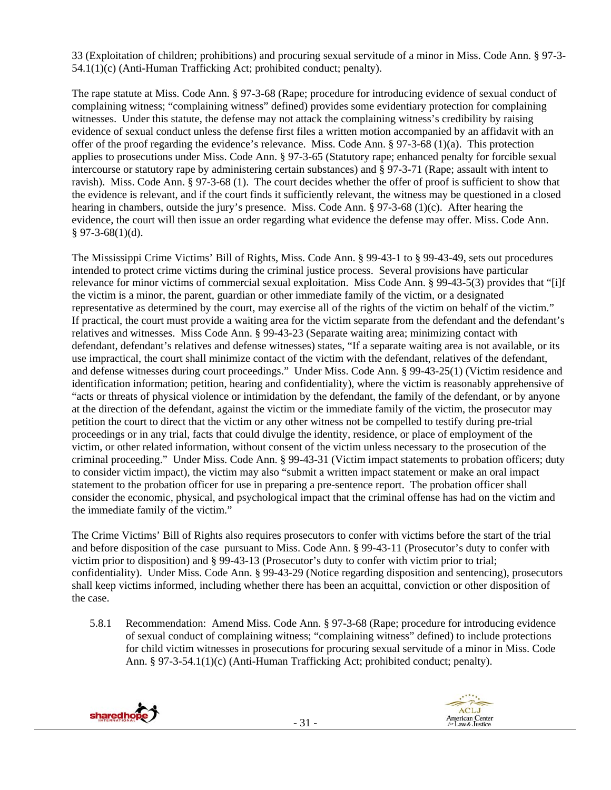33 (Exploitation of children; prohibitions) and procuring sexual servitude of a minor in Miss. Code Ann. § 97-3- 54.1(1)(c) (Anti-Human Trafficking Act; prohibited conduct; penalty).

The rape statute at Miss. Code Ann. § 97-3-68 (Rape; procedure for introducing evidence of sexual conduct of complaining witness; "complaining witness" defined) provides some evidentiary protection for complaining witnesses. Under this statute, the defense may not attack the complaining witness's credibility by raising evidence of sexual conduct unless the defense first files a written motion accompanied by an affidavit with an offer of the proof regarding the evidence's relevance. Miss. Code Ann. § 97-3-68 (1)(a). This protection applies to prosecutions under Miss. Code Ann. § 97-3-65 (Statutory rape; enhanced penalty for forcible sexual intercourse or statutory rape by administering certain substances) and § 97-3-71 (Rape; assault with intent to ravish). Miss. Code Ann. § 97-3-68 (1). The court decides whether the offer of proof is sufficient to show that the evidence is relevant, and if the court finds it sufficiently relevant, the witness may be questioned in a closed hearing in chambers, outside the jury's presence. Miss. Code Ann. § 97-3-68 (1)(c). After hearing the evidence, the court will then issue an order regarding what evidence the defense may offer. Miss. Code Ann.  $§$  97-3-68(1)(d).

The Mississippi Crime Victims' Bill of Rights, Miss. Code Ann. § 99-43-1 to § 99-43-49, sets out procedures intended to protect crime victims during the criminal justice process. Several provisions have particular relevance for minor victims of commercial sexual exploitation. Miss Code Ann. § 99-43-5(3) provides that "[i]f the victim is a minor, the parent, guardian or other immediate family of the victim, or a designated representative as determined by the court, may exercise all of the rights of the victim on behalf of the victim." If practical, the court must provide a waiting area for the victim separate from the defendant and the defendant's relatives and witnesses. Miss Code Ann. § 99-43-23 (Separate waiting area; minimizing contact with defendant, defendant's relatives and defense witnesses) states, "If a separate waiting area is not available, or its use impractical, the court shall minimize contact of the victim with the defendant, relatives of the defendant, and defense witnesses during court proceedings." Under Miss. Code Ann. § 99-43-25(1) (Victim residence and identification information; petition, hearing and confidentiality), where the victim is reasonably apprehensive of "acts or threats of physical violence or intimidation by the defendant, the family of the defendant, or by anyone at the direction of the defendant, against the victim or the immediate family of the victim, the prosecutor may petition the court to direct that the victim or any other witness not be compelled to testify during pre-trial proceedings or in any trial, facts that could divulge the identity, residence, or place of employment of the victim, or other related information, without consent of the victim unless necessary to the prosecution of the criminal proceeding." Under Miss. Code Ann. § 99-43-31 (Victim impact statements to probation officers; duty to consider victim impact), the victim may also "submit a written impact statement or make an oral impact statement to the probation officer for use in preparing a pre-sentence report. The probation officer shall consider the economic, physical, and psychological impact that the criminal offense has had on the victim and the immediate family of the victim."

The Crime Victims' Bill of Rights also requires prosecutors to confer with victims before the start of the trial and before disposition of the case pursuant to Miss. Code Ann. § 99-43-11 (Prosecutor's duty to confer with victim prior to disposition) and § 99-43-13 (Prosecutor's duty to confer with victim prior to trial; confidentiality). Under Miss. Code Ann. § 99-43-29 (Notice regarding disposition and sentencing), prosecutors shall keep victims informed, including whether there has been an acquittal, conviction or other disposition of the case.

5.8.1 Recommendation: Amend Miss. Code Ann. § 97-3-68 (Rape; procedure for introducing evidence of sexual conduct of complaining witness; "complaining witness" defined) to include protections for child victim witnesses in prosecutions for procuring sexual servitude of a minor in Miss. Code Ann. § 97-3-54.1(1)(c) (Anti-Human Trafficking Act; prohibited conduct; penalty).



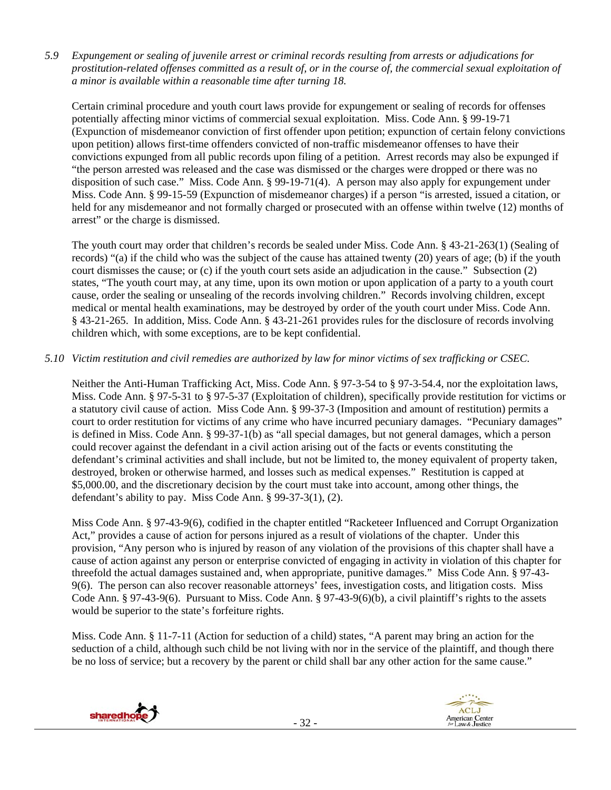*5.9 Expungement or sealing of juvenile arrest or criminal records resulting from arrests or adjudications for prostitution-related offenses committed as a result of, or in the course of, the commercial sexual exploitation of a minor is available within a reasonable time after turning 18.* 

Certain criminal procedure and youth court laws provide for expungement or sealing of records for offenses potentially affecting minor victims of commercial sexual exploitation. Miss. Code Ann. § 99-19-71 (Expunction of misdemeanor conviction of first offender upon petition; expunction of certain felony convictions upon petition) allows first-time offenders convicted of non-traffic misdemeanor offenses to have their convictions expunged from all public records upon filing of a petition. Arrest records may also be expunged if "the person arrested was released and the case was dismissed or the charges were dropped or there was no disposition of such case." Miss. Code Ann. § 99-19-71(4). A person may also apply for expungement under Miss. Code Ann. § 99-15-59 (Expunction of misdemeanor charges) if a person "is arrested, issued a citation, or held for any misdemeanor and not formally charged or prosecuted with an offense within twelve (12) months of arrest" or the charge is dismissed.

The youth court may order that children's records be sealed under Miss. Code Ann. § 43-21-263(1) (Sealing of records) "(a) if the child who was the subject of the cause has attained twenty (20) years of age; (b) if the youth court dismisses the cause; or (c) if the youth court sets aside an adjudication in the cause." Subsection (2) states, "The youth court may, at any time, upon its own motion or upon application of a party to a youth court cause, order the sealing or unsealing of the records involving children." Records involving children, except medical or mental health examinations, may be destroyed by order of the youth court under Miss. Code Ann. § 43-21-265. In addition, Miss. Code Ann. § 43-21-261 provides rules for the disclosure of records involving children which, with some exceptions, are to be kept confidential.

# *5.10 Victim restitution and civil remedies are authorized by law for minor victims of sex trafficking or CSEC.*

Neither the Anti-Human Trafficking Act, Miss. Code Ann. § 97-3-54 to § 97-3-54.4, nor the exploitation laws, Miss. Code Ann. § 97-5-31 to § 97-5-37 (Exploitation of children), specifically provide restitution for victims or a statutory civil cause of action. Miss Code Ann. § 99-37-3 (Imposition and amount of restitution) permits a court to order restitution for victims of any crime who have incurred pecuniary damages. "Pecuniary damages" is defined in Miss. Code Ann. § 99-37-1(b) as "all special damages, but not general damages, which a person could recover against the defendant in a civil action arising out of the facts or events constituting the defendant's criminal activities and shall include, but not be limited to, the money equivalent of property taken, destroyed, broken or otherwise harmed, and losses such as medical expenses." Restitution is capped at \$5,000.00, and the discretionary decision by the court must take into account, among other things, the defendant's ability to pay. Miss Code Ann. § 99-37-3(1), (2).

Miss Code Ann. § 97-43-9(6), codified in the chapter entitled "Racketeer Influenced and Corrupt Organization Act," provides a cause of action for persons injured as a result of violations of the chapter. Under this provision, "Any person who is injured by reason of any violation of the provisions of this chapter shall have a cause of action against any person or enterprise convicted of engaging in activity in violation of this chapter for threefold the actual damages sustained and, when appropriate, punitive damages." Miss Code Ann. § 97-43- 9(6). The person can also recover reasonable attorneys' fees, investigation costs, and litigation costs. Miss Code Ann. § 97-43-9(6). Pursuant to Miss. Code Ann. § 97-43-9(6)(b), a civil plaintiff's rights to the assets would be superior to the state's forfeiture rights.

Miss. Code Ann. § 11-7-11 (Action for seduction of a child) states, "A parent may bring an action for the seduction of a child, although such child be not living with nor in the service of the plaintiff, and though there be no loss of service; but a recovery by the parent or child shall bar any other action for the same cause."



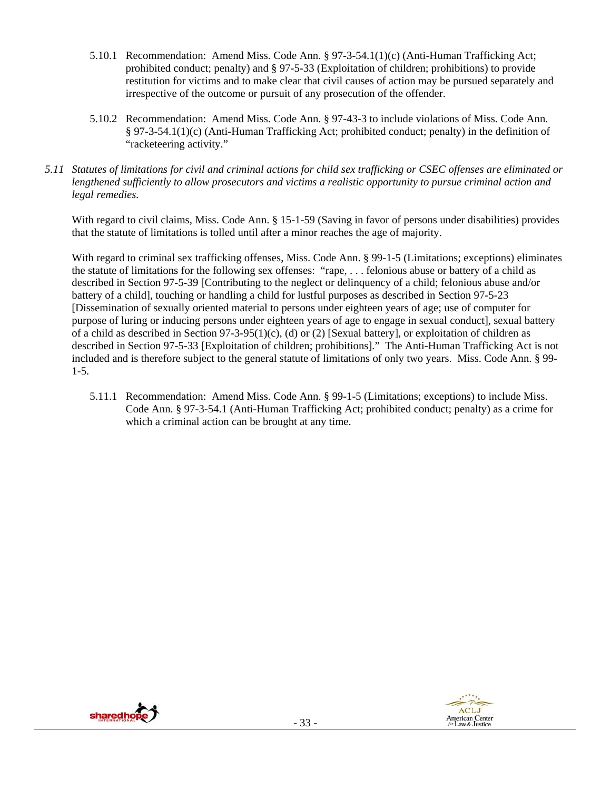- 5.10.1 Recommendation: Amend Miss. Code Ann. § 97-3-54.1(1)(c) (Anti-Human Trafficking Act; prohibited conduct; penalty) and § 97-5-33 (Exploitation of children; prohibitions) to provide restitution for victims and to make clear that civil causes of action may be pursued separately and irrespective of the outcome or pursuit of any prosecution of the offender.
- 5.10.2 Recommendation: Amend Miss. Code Ann. § 97-43-3 to include violations of Miss. Code Ann. § 97-3-54.1(1)(c) (Anti-Human Trafficking Act; prohibited conduct; penalty) in the definition of "racketeering activity."
- *5.11 Statutes of limitations for civil and criminal actions for child sex trafficking or CSEC offenses are eliminated or lengthened sufficiently to allow prosecutors and victims a realistic opportunity to pursue criminal action and legal remedies.*

With regard to civil claims, Miss. Code Ann. § 15-1-59 (Saving in favor of persons under disabilities) provides that the statute of limitations is tolled until after a minor reaches the age of majority.

With regard to criminal sex trafficking offenses, Miss. Code Ann. § 99-1-5 (Limitations; exceptions) eliminates the statute of limitations for the following sex offenses: "rape, . . . felonious abuse or battery of a child as described in Section 97-5-39 [Contributing to the neglect or delinquency of a child; felonious abuse and/or battery of a child], touching or handling a child for lustful purposes as described in Section 97-5-23 [Dissemination of sexually oriented material to persons under eighteen years of age; use of computer for purpose of luring or inducing persons under eighteen years of age to engage in sexual conduct], sexual battery of a child as described in Section 97-3-95(1)(c), (d) or (2) [Sexual battery], or exploitation of children as described in Section 97-5-33 [Exploitation of children; prohibitions]." The Anti-Human Trafficking Act is not included and is therefore subject to the general statute of limitations of only two years. Miss. Code Ann. § 99- 1-5.

5.11.1 Recommendation: Amend Miss. Code Ann. § 99-1-5 (Limitations; exceptions) to include Miss. Code Ann. § 97-3-54.1 (Anti-Human Trafficking Act; prohibited conduct; penalty) as a crime for which a criminal action can be brought at any time.



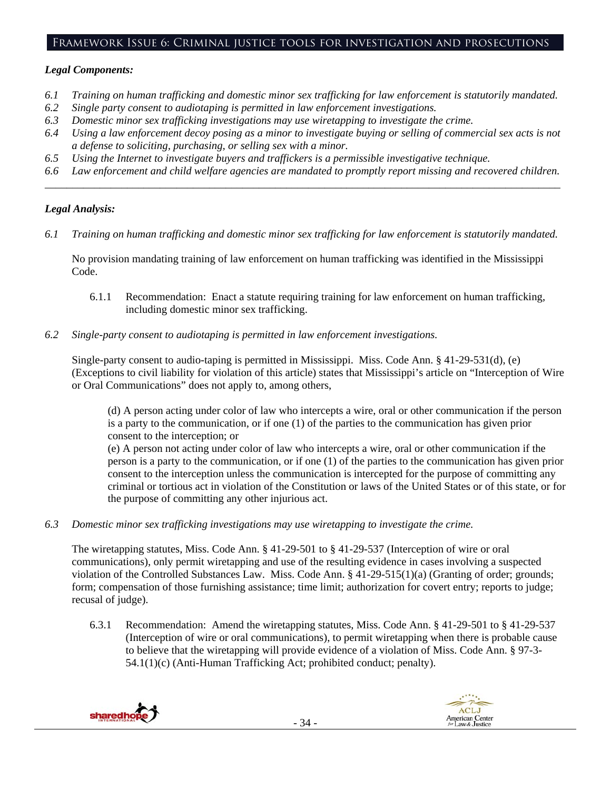# Framework Issue 6: Criminal justice tools for investigation and prosecutions

# *Legal Components:*

- *6.1 Training on human trafficking and domestic minor sex trafficking for law enforcement is statutorily mandated.*
- *6.2 Single party consent to audiotaping is permitted in law enforcement investigations.*
- *6.3 Domestic minor sex trafficking investigations may use wiretapping to investigate the crime.*
- *6.4 Using a law enforcement decoy posing as a minor to investigate buying or selling of commercial sex acts is not a defense to soliciting, purchasing, or selling sex with a minor.*
- *6.5 Using the Internet to investigate buyers and traffickers is a permissible investigative technique.*
- *6.6 Law enforcement and child welfare agencies are mandated to promptly report missing and recovered children. \_\_\_\_\_\_\_\_\_\_\_\_\_\_\_\_\_\_\_\_\_\_\_\_\_\_\_\_\_\_\_\_\_\_\_\_\_\_\_\_\_\_\_\_\_\_\_\_\_\_\_\_\_\_\_\_\_\_\_\_\_\_\_\_\_\_\_\_\_\_\_\_\_\_\_\_\_\_\_\_\_\_\_\_\_\_\_\_\_\_\_\_\_\_*

# *Legal Analysis:*

*6.1 Training on human trafficking and domestic minor sex trafficking for law enforcement is statutorily mandated.*

No provision mandating training of law enforcement on human trafficking was identified in the Mississippi Code.

- 6.1.1 Recommendation: Enact a statute requiring training for law enforcement on human trafficking, including domestic minor sex trafficking.
- *6.2 Single-party consent to audiotaping is permitted in law enforcement investigations.*

Single-party consent to audio-taping is permitted in Mississippi. Miss. Code Ann. § 41-29-531(d), (e) (Exceptions to civil liability for violation of this article) states that Mississippi's article on "Interception of Wire or Oral Communications" does not apply to, among others,

(d) A person acting under color of law who intercepts a wire, oral or other communication if the person is a party to the communication, or if one (1) of the parties to the communication has given prior consent to the interception; or

(e) A person not acting under color of law who intercepts a wire, oral or other communication if the person is a party to the communication, or if one (1) of the parties to the communication has given prior consent to the interception unless the communication is intercepted for the purpose of committing any criminal or tortious act in violation of the Constitution or laws of the United States or of this state, or for the purpose of committing any other injurious act.

*6.3 Domestic minor sex trafficking investigations may use wiretapping to investigate the crime.* 

The wiretapping statutes, Miss. Code Ann. § 41-29-501 to § 41-29-537 (Interception of wire or oral communications), only permit wiretapping and use of the resulting evidence in cases involving a suspected violation of the Controlled Substances Law. Miss. Code Ann. § 41-29-515(1)(a) (Granting of order; grounds; form; compensation of those furnishing assistance; time limit; authorization for covert entry; reports to judge; recusal of judge).

6.3.1 Recommendation: Amend the wiretapping statutes, Miss. Code Ann. § 41-29-501 to § 41-29-537 (Interception of wire or oral communications), to permit wiretapping when there is probable cause to believe that the wiretapping will provide evidence of a violation of Miss. Code Ann. § 97-3- 54.1(1)(c) (Anti-Human Trafficking Act; prohibited conduct; penalty).